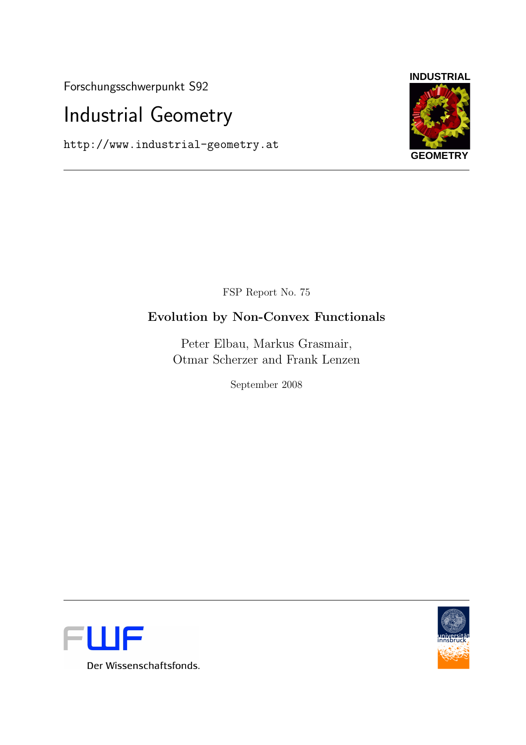Forschungsschwerpunkt S92

# Industrial Geometry

http://www.industrial-geometry.at



FSP Report No. 75

## Evolution by Non-Convex Functionals

Peter Elbau, Markus Grasmair, Otmar Scherzer and Frank Lenzen

September 2008



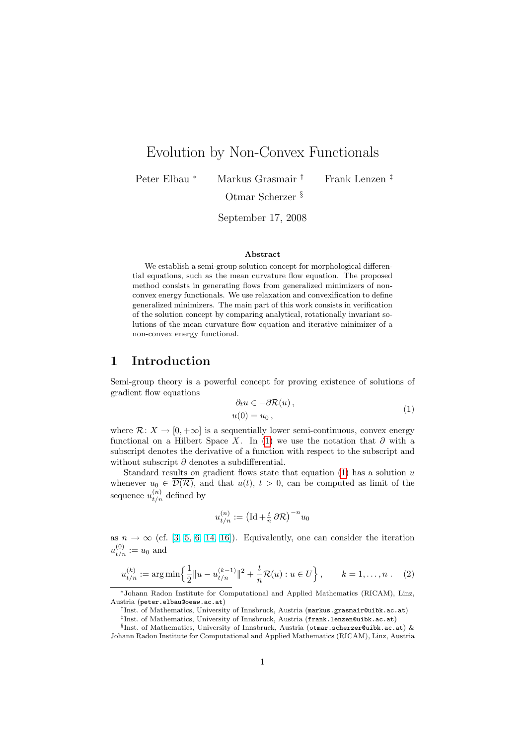## Evolution by Non-Convex Functionals

Peter Elbau <sup>∗</sup> Markus Grasmair † Frank Lenzen ‡

Otmar Scherzer §

September 17, 2008

#### Abstract

We establish a semi-group solution concept for morphological differential equations, such as the mean curvature flow equation. The proposed method consists in generating flows from generalized minimizers of nonconvex energy functionals. We use relaxation and convexification to define generalized minimizers. The main part of this work consists in verification of the solution concept by comparing analytical, rotationally invariant solutions of the mean curvature flow equation and iterative minimizer of a non-convex energy functional.

#### 1 Introduction

Semi-group theory is a powerful concept for proving existence of solutions of gradient flow equations

<span id="page-2-0"></span>
$$
\partial_t u \in -\partial \mathcal{R}(u), u(0) = u_0,
$$
\n(1)

where  $\mathcal{R}: X \to [0, +\infty]$  is a sequentially lower semi-continuous, convex energy functional on a Hilbert Space X. In [\(1\)](#page-2-0) we use the notation that  $\partial$  with a subscript denotes the derivative of a function with respect to the subscript and without subscript  $\partial$  denotes a subdifferential.

Standard results on gradient flows state that equation  $(1)$  has a solution u whenever  $u_0 \in \mathcal{D}(\mathcal{R})$ , and that  $u(t), t > 0$ , can be computed as limit of the sequence  $u_{t/n}^{(n)}$  defined by

$$
u_{t/n}^{(n)} := \left(\mathrm{Id} + \frac{t}{n} \,\partial \mathcal{R}\right)^{-n} u_0
$$

as  $n \to \infty$  (cf. [\[3,](#page-23-0) [5,](#page-24-0) [6,](#page-24-1) [14,](#page-24-2) [16\]](#page-24-3)). Equivalently, one can consider the iteration  $u_{t/n}^{(0)} := u_0$  and

<span id="page-2-1"></span>
$$
u_{t/n}^{(k)} := \arg\min\left\{\frac{1}{2}||u - u_{t/n}^{(k-1)}||^2 + \frac{t}{n}\mathcal{R}(u) : u \in U\right\}, \qquad k = 1, \dots, n. \tag{2}
$$

<sup>∗</sup>Johann Radon Institute for Computational and Applied Mathematics (RICAM), Linz, Austria (peter.elbau@oeaw.ac.at)

<sup>†</sup> Inst. of Mathematics, University of Innsbruck, Austria (markus.grasmair@uibk.ac.at)

<sup>‡</sup> Inst. of Mathematics, University of Innsbruck, Austria (frank.lenzen@uibk.ac.at)

<sup>§</sup> Inst. of Mathematics, University of Innsbruck, Austria (otmar.scherzer@uibk.ac.at) & Johann Radon Institute for Computational and Applied Mathematics (RICAM), Linz, Austria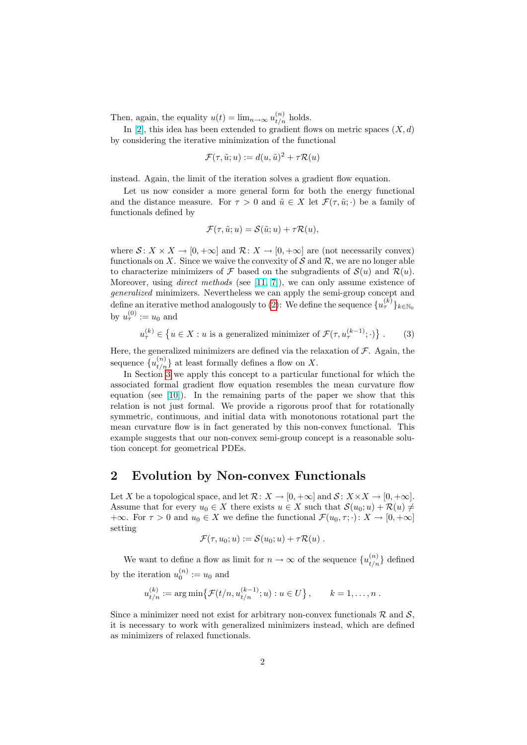Then, again, the equality  $u(t) = \lim_{n \to \infty} u_{t/n}^{(n)}$  holds.

In [\[2\]](#page-23-1), this idea has been extended to gradient flows on metric spaces  $(X, d)$ by considering the iterative minimization of the functional

$$
\mathcal{F}(\tau, \tilde{u}; u) := d(u, \tilde{u})^2 + \tau \mathcal{R}(u)
$$

instead. Again, the limit of the iteration solves a gradient flow equation.

Let us now consider a more general form for both the energy functional and the distance measure. For  $\tau > 0$  and  $\tilde{u} \in X$  let  $\mathcal{F}(\tau, \tilde{u}; \cdot)$  be a family of functionals defined by

$$
\mathcal{F}(\tau, \tilde{u}; u) = \mathcal{S}(\tilde{u}; u) + \tau \mathcal{R}(u),
$$

where  $S: X \times X \to [0, +\infty]$  and  $\mathcal{R}: X \to [0, +\infty]$  are (not necessarily convex) functionals on X. Since we waive the convexity of  $S$  and  $R$ , we are no longer able to characterize minimizers of  $\mathcal F$  based on the subgradients of  $\mathcal S(u)$  and  $\mathcal R(u)$ . Moreover, using *direct methods* (see [\[11,](#page-24-4) [7\]](#page-24-5)), we can only assume existence of generalized minimizers. Nevertheless we can apply the semi-group concept and define an iterative method analogously to [\(2\)](#page-2-1): We define the sequence  $\{u^{(k)}_{\tau}\}_{k\in\mathbb{N}_0}$ by  $u_{\tau}^{(0)} := u_0$  and

$$
u_{\tau}^{(k)} \in \left\{ u \in X : u \text{ is a generalized minimizer of } \mathcal{F}(\tau, u_{\tau}^{(k-1)}; \cdot) \right\}. \tag{3}
$$

Here, the generalized minimizers are defined via the relaxation of  $\mathcal F$ . Again, the sequence  $\{u_{t/n}^{(n)}\}$  at least formally defines a flow on X.

In Section [3](#page-5-0) we apply this concept to a particular functional for which the associated formal gradient flow equation resembles the mean curvature flow equation (see [\[10\]](#page-24-6)). In the remaining parts of the paper we show that this relation is not just formal. We provide a rigorous proof that for rotationally symmetric, continuous, and initial data with monotonous rotational part the mean curvature flow is in fact generated by this non-convex functional. This example suggests that our non-convex semi-group concept is a reasonable solution concept for geometrical PDEs.

#### 2 Evolution by Non-convex Functionals

Let X be a topological space, and let  $\mathcal{R} \colon X \to [0, +\infty]$  and  $\mathcal{S} \colon X \times X \to [0, +\infty]$ . Assume that for every  $u_0 \in X$  there exists  $u \in X$  such that  $\mathcal{S}(u_0; u) + \mathcal{R}(u) \neq \emptyset$ +∞. For  $\tau > 0$  and  $u_0 \in X$  we define the functional  $\mathcal{F}(u_0, \tau; \cdot) \colon X \to [0, +\infty]$ setting

$$
\mathcal{F}(\tau, u_0; u) := \mathcal{S}(u_0; u) + \tau \mathcal{R}(u) .
$$

We want to define a flow as limit for  $n \to \infty$  of the sequence  $\{u_{t/n}^{(n)}\}$  defined by the iteration  $u_0^{(n)} := u_0$  and

$$
u_{t/n}^{(k)} := \arg \min \{ \mathcal{F}(t/n, u_{t/n}^{(k-1)}; u) : u \in U \}, \qquad k = 1, ..., n.
$$

Since a minimizer need not exist for arbitrary non-convex functionals  $\mathcal{R}$  and  $\mathcal{S}$ , it is necessary to work with generalized minimizers instead, which are defined as minimizers of relaxed functionals.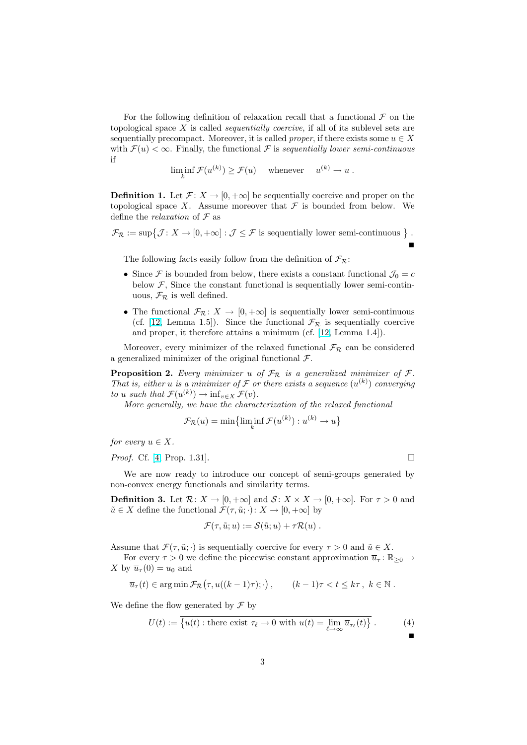For the following definition of relaxation recall that a functional  $\mathcal F$  on the topological space  $X$  is called *sequentially coercive*, if all of its sublevel sets are sequentially precompact. Moreover, it is called *proper*, if there exists some  $u \in X$ with  $\mathcal{F}(u) < \infty$ . Finally, the functional  $\mathcal F$  is sequentially lower semi-continuous if

$$
\liminf_{k} \mathcal{F}(u^{(k)}) \ge \mathcal{F}(u) \quad \text{ whenever } \quad u^{(k)} \to u .
$$

**Definition 1.** Let  $\mathcal{F} \colon X \to [0, +\infty]$  be sequentially coercive and proper on the topological space X. Assume moreover that  $\mathcal F$  is bounded from below. We define the *relaxation* of  $\mathcal F$  as

 $\mathcal{F}_{\mathcal{R}} := \sup \{ \mathcal{J} \colon X \to [0, +\infty] : \mathcal{J} \leq \mathcal{F} \text{ is sequentially lower semi-continuous } \}$ .

Г

The following facts easily follow from the definition of  $\mathcal{F}_{\mathcal{R}}$ :

- Since F is bounded from below, there exists a constant functional  $\mathcal{J}_0 = c$ below  $F$ , Since the constant functional is sequentially lower semi-continuous,  $\mathcal{F}_{\mathcal{R}}$  is well defined.
- The functional  $\mathcal{F}_{\mathcal{R}}: X \to [0, +\infty]$  is sequentially lower semi-continuous (cf. [\[12,](#page-24-7) Lemma 1.5]). Since the functional  $\mathcal{F}_{\mathcal{R}}$  is sequentially coercive and proper, it therefore attains a minimum (cf. [\[12,](#page-24-7) Lemma 1.4]).

Moreover, every minimizer of the relaxed functional  $\mathcal{F}_{\mathcal{R}}$  can be considered a generalized minimizer of the original functional  $\mathcal{F}$ .

**Proposition 2.** Every minimizer u of  $\mathcal{F}_{\mathcal{R}}$  is a generalized minimizer of  $\mathcal{F}$ . That is, either u is a minimizer of  $\mathcal F$  or there exists a sequence  $(u^{(k)})$  converging to u such that  $\mathcal{F}(u^{(k)}) \to \inf_{v \in X} \mathcal{F}(v)$ .

More generally, we have the characterization of the relaxed functional

$$
\mathcal{F}_{\mathcal{R}}(u) = \min\left\{\liminf_{k} \mathcal{F}(u^{(k)}) : u^{(k)} \to u\right\}
$$

for every  $u \in X$ .

*Proof.* Cf. [\[4,](#page-23-2) Prop. 1.31].

We are now ready to introduce our concept of semi-groups generated by non-convex energy functionals and similarity terms.

<span id="page-4-0"></span>**Definition 3.** Let  $\mathcal{R}: X \to [0, +\infty]$  and  $\mathcal{S}: X \times X \to [0, +\infty]$ . For  $\tau > 0$  and  $\tilde{u} \in X$  define the functional  $\mathcal{F}(\tau, \tilde{u}; \cdot): X \to [0, +\infty]$  by

$$
\mathcal{F}(\tau,\tilde{u};u) := \mathcal{S}(\tilde{u};u) + \tau \mathcal{R}(u) .
$$

Assume that  $\mathcal{F}(\tau, \tilde{u}; \cdot)$  is sequentially coercive for every  $\tau > 0$  and  $\tilde{u} \in X$ .

For every  $\tau > 0$  we define the piecewise constant approximation  $\overline{u}_{\tau} : \mathbb{R}_{\geq 0} \to$ X by  $\overline{u}_{\tau}(0) = u_0$  and

$$
\overline{u}_{\tau}(t) \in \arg\min \mathcal{F}_{\mathcal{R}}(\tau, u((k-1)\tau); \cdot), \qquad (k-1)\tau < t \leq k\tau, \ k \in \mathbb{N}.
$$

We define the flow generated by  $\mathcal F$  by

$$
U(t) := \overline{\{u(t) : \text{there exist } \tau_{\ell} \to 0 \text{ with } u(t) = \lim_{\ell \to \infty} \overline{u}_{\tau_{\ell}}(t)\}}. \tag{4}
$$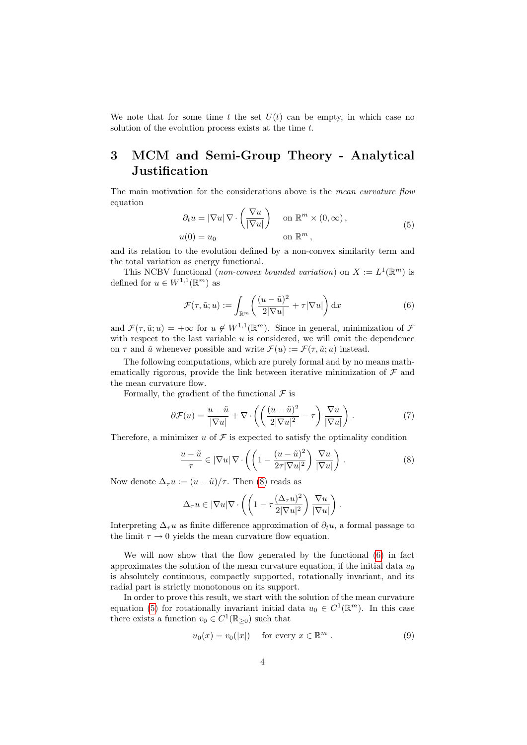We note that for some time t the set  $U(t)$  can be empty, in which case no solution of the evolution process exists at the time t.

## <span id="page-5-0"></span>3 MCM and Semi-Group Theory - Analytical **Justification**

<span id="page-5-3"></span>The main motivation for the considerations above is the *mean curvature flow* equation

$$
\partial_t u = |\nabla u| \nabla \cdot \left(\frac{\nabla u}{|\nabla u|}\right) \quad \text{on } \mathbb{R}^m \times (0, \infty),
$$
  

$$
u(0) = u_0 \qquad \text{on } \mathbb{R}^m,
$$
 (5)

and its relation to the evolution defined by a non-convex similarity term and the total variation as energy functional.

This NCBV functional (non-convex bounded variation) on  $X := L^1(\mathbb{R}^m)$  is defined for  $u \in W^{1,1}(\mathbb{R}^m)$  as

<span id="page-5-2"></span>
$$
\mathcal{F}(\tau, \tilde{u}; u) := \int_{\mathbb{R}^m} \left( \frac{(u - \tilde{u})^2}{2|\nabla u|} + \tau |\nabla u| \right) dx \tag{6}
$$

and  $\mathcal{F}(\tau, \tilde{u}; u) = +\infty$  for  $u \notin W^{1,1}(\mathbb{R}^m)$ . Since in general, minimization of  $\mathcal F$ with respect to the last variable  $u$  is considered, we will omit the dependence on  $\tau$  and  $\tilde{u}$  whenever possible and write  $\mathcal{F}(u) := \mathcal{F}(\tau, \tilde{u}; u)$  instead.

The following computations, which are purely formal and by no means mathematically rigorous, provide the link between iterative minimization of  $\mathcal F$  and the mean curvature flow.

Formally, the gradient of the functional  $\mathcal F$  is

$$
\partial \mathcal{F}(u) = \frac{u - \tilde{u}}{|\nabla u|} + \nabla \cdot \left( \left( \frac{(u - \tilde{u})^2}{2|\nabla u|^2} - \tau \right) \frac{\nabla u}{|\nabla u|} \right). \tag{7}
$$

Therefore, a minimizer u of  $\mathcal F$  is expected to satisfy the optimality condition

<span id="page-5-1"></span>
$$
\frac{u-\tilde{u}}{\tau} \in |\nabla u| \nabla \cdot \left( \left( 1 - \frac{(u-\tilde{u})^2}{2\tau |\nabla u|^2} \right) \frac{\nabla u}{|\nabla u|} \right). \tag{8}
$$

Now denote  $\Delta_{\tau} u := (u - \tilde{u})/\tau$ . Then [\(8\)](#page-5-1) reads as

$$
\Delta_{\tau} u \in |\nabla u| \nabla \cdot \left( \left( 1 - \tau \frac{(\Delta_{\tau} u)^2}{2|\nabla u|^2} \right) \frac{\nabla u}{|\nabla u|} \right).
$$

Interpreting  $\Delta_{\tau}u$  as finite difference approximation of  $\partial_t u$ , a formal passage to the limit  $\tau \to 0$  yields the mean curvature flow equation.

We will now show that the flow generated by the functional [\(6\)](#page-5-2) in fact approximates the solution of the mean curvature equation, if the initial data  $u_0$ is absolutely continuous, compactly supported, rotationally invariant, and its radial part is strictly monotonous on its support.

In order to prove this result, we start with the solution of the mean curvature equation [\(5\)](#page-5-3) for rotationally invariant initial data  $u_0 \in C^1(\mathbb{R}^m)$ . In this case there exists a function  $v_0 \in C^1(\mathbb{R}_{\geq 0})$  such that

<span id="page-5-4"></span>
$$
u_0(x) = v_0(|x|) \quad \text{for every } x \in \mathbb{R}^m \,.
$$
 (9)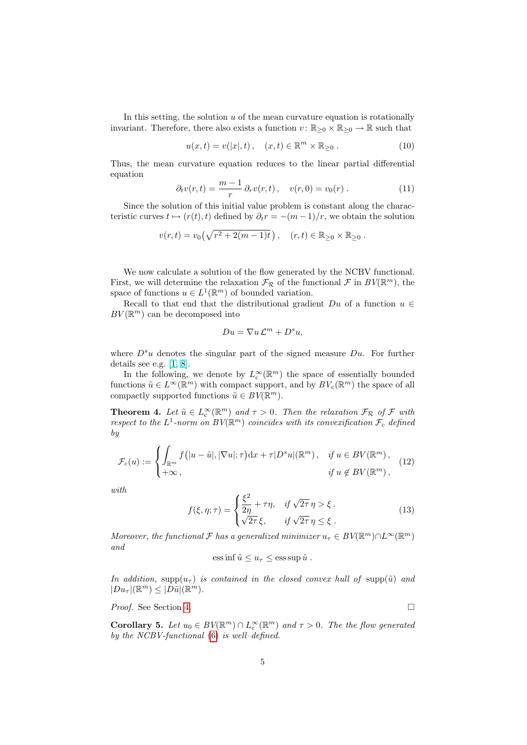In this setting, the solution  $u$  of the mean curvature equation is rotationally invariant. Therefore, there also exists a function  $v: \mathbb{R}_{\geq 0} \times \mathbb{R}_{\geq 0} \to \mathbb{R}$  such that

<span id="page-6-1"></span>
$$
u(x,t) = v(|x|,t), \quad (x,t) \in \mathbb{R}^m \times \mathbb{R}_{\geq 0} . \tag{10}
$$

Thus, the mean curvature equation reduces to the linear partial differential equation

<span id="page-6-4"></span>
$$
\partial_t v(r,t) = \frac{m-1}{r} \partial_r v(r,t) \,, \quad v(r,0) = v_0(r) \,.
$$
 (11)

Since the solution of this initial value problem is constant along the characteristic curves  $t \mapsto (r(t), t)$  defined by  $\partial_t r = -(m - 1)/r$ , we obtain the solution

$$
v(r,t) = v_0(\sqrt{r^2 + 2(m-1)t}), \quad (r,t) \in \mathbb{R}_{\geq 0} \times \mathbb{R}_{\geq 0}.
$$

We now calculate a solution of the flow generated by the NCBV functional. First, we will determine the relaxation  $\mathcal{F}_{\mathcal{R}}$  of the functional  $\mathcal{F}$  in  $BV(\mathbb{R}^m)$ , the space of functions  $u \in L^1(\mathbb{R}^m)$  of bounded variation.

Recall to that end that the distributional gradient  $Du$  of a function  $u \in$  $BV(\mathbb{R}^m)$  can be decomposed into

$$
Du = \nabla u \mathcal{L}^m + D^s u,
$$

where  $D^s u$  denotes the singular part of the signed measure  $Du$ . For further details see e.g. [\[1,](#page-23-3) [8\]](#page-24-8).

In the following, we denote by  $L^{\infty}_c(\mathbb{R}^m)$  the space of essentially bounded functions  $\tilde{u} \in L^{\infty}(\mathbb{R}^m)$  with compact support, and by  $BV_c(\mathbb{R}^m)$  the space of all compactly supported functions  $\tilde{u} \in BV(\mathbb{R}^m)$ .

<span id="page-6-0"></span>**Theorem 4.** Let  $\tilde{u} \in L^{\infty}_c(\mathbb{R}^m)$  and  $\tau > 0$ . Then the relaxation  $\mathcal{F}_{\mathcal{R}}$  of  $\mathcal{F}$  with respect to the  $L^1$ -norm on  $BV(\mathbb{R}^m)$  coincides with its convexification  $\mathcal{F}_c$  defined by

<span id="page-6-2"></span>
$$
\mathcal{F}_c(u) := \begin{cases} \int_{\mathbb{R}^m} f\big(|u - \tilde{u}|, |\nabla u|; \tau\big) \mathrm{d}x + \tau |D^s u|(\mathbb{R}^m), & \text{if } u \in BV(\mathbb{R}^m), \\ +\infty, & \text{if } u \notin BV(\mathbb{R}^m), \end{cases} \tag{12}
$$

<span id="page-6-3"></span>with

$$
f(\xi, \eta; \tau) = \begin{cases} \frac{\xi^2}{2\eta} + \tau \eta, & \text{if } \sqrt{2\tau} \eta > \xi, \\ \sqrt{2\tau} \xi, & \text{if } \sqrt{2\tau} \eta \le \xi. \end{cases}
$$
(13)

Moreover, the functional  $\mathcal F$  has a generalized minimizer  $u_\tau \in BV(\mathbb R^m) \cap L^\infty(\mathbb R^m)$ and

ess inf 
$$
\tilde{u} \leq u_{\tau} \leq \operatorname{ess} \operatorname{sup} \tilde{u}
$$
.

In addition, supp $(u_\tau)$  is contained in the closed convex hull of supp $(\tilde{u})$  and  $|Du_\tau|(\mathbb{R}^m) \leq |D\tilde{u}|(\mathbb{R}^m).$ 

Proof. See Section [4.](#page-8-0) □

**Corollary 5.** Let  $u_0 \in BV(\mathbb{R}^m) \cap L_c^{\infty}(\mathbb{R}^m)$  and  $\tau > 0$ . The the flow generated by the NCBV-functional [\(6\)](#page-5-2) is well–defined.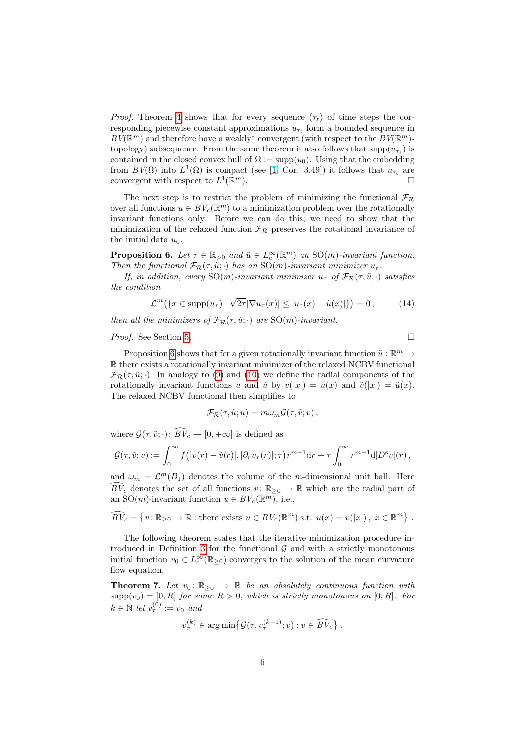*Proof.* Theorem [4](#page-6-0) shows that for every sequence  $(\tau_{\ell})$  of time steps the corresponding piecewise constant approximations  $\overline{u}_{\tau_{\ell}}$  form a bounded sequence in  $BV(\mathbb{R}^m)$  and therefore have a weakly<sup>\*</sup> convergent (with respect to the  $BV(\mathbb{R}^m)$ topology) subsequence. From the same theorem it also follows that  $\text{supp}(\overline{u}_{\tau_\ell})$  is contained in the closed convex hull of  $\Omega := \text{supp}(u_0)$ . Using that the embedding from  $BV(\Omega)$  into  $L^1(\Omega)$  is compact (see [\[1,](#page-23-3) Cor. 3.49]) it follows that  $\overline{u}_{\tau_{\ell}}$  are convergent with respect to  $L^1(\mathbb{R})$  $\Box$ 

The next step is to restrict the problem of minimizing the functional  $\mathcal{F}_{\mathcal{R}}$ over all functions  $u \in BV_c(\mathbb{R}^m)$  to a minimization problem over the rotationally invariant functions only. Before we can do this, we need to show that the minimization of the relaxed function  $\mathcal{F}_{\mathcal{R}}$  preserves the rotational invariance of the initial data  $u_0$ .

<span id="page-7-0"></span>**Proposition 6.** Let  $\tau \in \mathbb{R}_{>0}$  and  $\tilde{u} \in L_{\mathcal{C}}^{\infty}(\mathbb{R}^m)$  an  $\mathrm{SO}(m)$ -invariant function. Then the functional  $\mathcal{F}_{\mathcal{R}}(\tau, \tilde{u}; \cdot)$  has an  $\mathrm{SO}(m)$ -invariant minimizer  $u_{\tau}$ .

If, in addition, every SO(m)-invariant minimizer  $u_{\tau}$  of  $\mathcal{F}_{\mathcal{R}}(\tau, \tilde{u}; \cdot)$  satisfies the condition

<span id="page-7-2"></span>
$$
\mathcal{L}^m\big(\lbrace x \in \text{supp}(u_\tau) : \sqrt{2\tau} |\nabla u_\tau(x)| \le |u_\tau(x) - \tilde{u}(x)| \rbrace \big) = 0, \tag{14}
$$

then all the minimizers of  $\mathcal{F}_{\mathcal{R}}(\tau, \tilde{u}; \cdot)$  are SO(m)-invariant.

*Proof.* See Section [5.](#page-11-0) □

Proposition [6](#page-7-0) shows that for a given rotationally invariant function  $\tilde{u}: \mathbb{R}^m \to$ R there exists a rotationally invariant minimizer of the relaxed NCBV functional  $\mathcal{F}_{\mathcal{R}}(\tau, \tilde{u}; \cdot)$ . In analogy to [\(9\)](#page-5-4) and [\(10\)](#page-6-1) we define the radial components of the rotationally invariant functions u and  $\tilde{u}$  by  $v(|x|) = u(x)$  and  $\tilde{v}(|x|) = \tilde{u}(x)$ . The relaxed NCBV functional then simplifies to

$$
\mathcal{F}_{\mathcal{R}}(\tau, \tilde{u}; u) = m \omega_m \mathcal{G}(\tau, \tilde{v}; v) ,
$$

where  $\mathcal{G}(\tau, \tilde{v}; \cdot)$ :  $\widehat{BV}_c \to [0, +\infty]$  is defined as

$$
\mathcal{G}(\tau,\tilde{v};v) := \int_0^\infty f\big(|v(r)-\tilde{v}(r)|,|\partial_r v_\tau(r)|;\tau\big)r^{m-1}\mathrm{d}r + \tau\int_0^\infty r^{m-1}\mathrm{d}|D^{\mathrm{s}}v|(r)\,,
$$

and  $\omega_m = \mathcal{L}^m(B_1)$  denotes the volume of the m-dimensional unit ball. Here  $\widehat{BV}_c$  denotes the set of all functions  $v : \mathbb{R}_{\geq 0} \to \mathbb{R}$  which are the radial part of an SO(*m*)-invariant function  $u \in BV_c(\mathbb{R}^m)$ , i.e.,

$$
\widehat{BV}_c = \{v \colon \mathbb{R}_{\geq 0} \to \mathbb{R} : \text{there exists } u \in BV_c(\mathbb{R}^m) \text{ s.t. } u(x) = v(|x|), \ x \in \mathbb{R}^m \}.
$$

The following theorem states that the iterative minimization procedure in-troduced in Definition [3](#page-4-0) for the functional  $\mathcal G$  and with a strictly monotonous initial function  $v_0 \in L^{\infty}_c(\mathbb{R}_{\geq 0})$  converges to the solution of the mean curvature flow equation.

<span id="page-7-1"></span>**Theorem 7.** Let  $v_0: \mathbb{R}_{\geq 0} \to \mathbb{R}$  be an absolutely continuous function with  $\text{supp}(v_0) = [0, R]$  for some  $R > 0$ , which is strictly monotonous on  $[0, R]$ . For  $k \in \mathbb{N}$  let  $v_{\tau}^{(0)} := v_0$  and

$$
v_{\tau}^{(k)} \in \arg\min \{ \mathcal{G}(\tau, v_{\tau}^{(k-1)}; v) : v \in \widehat{BV}_c \} .
$$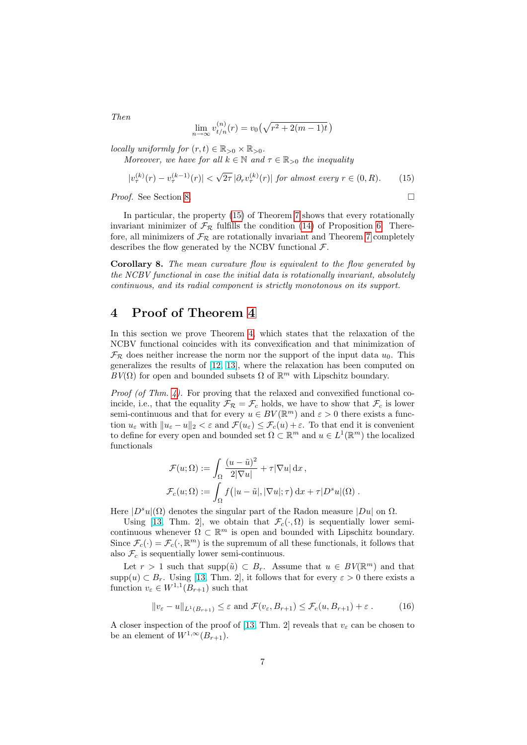<span id="page-8-1"></span>
$$
\lim_{n \to \infty} v_{t/n}^{(n)}(r) = v_0(\sqrt{r^2 + 2(m-1)t})
$$

locally uniformly for  $(r, t) \in \mathbb{R}_{>0} \times \mathbb{R}_{>0}$ .

Moreover, we have for all  $k \in \mathbb{N}$  and  $\tau \in \mathbb{R}_{>0}$  the inequality

$$
|v_{\tau}^{(k)}(r) - v_{\tau}^{(k-1)}(r)| < \sqrt{2\tau} \left|\partial_r v_{\tau}^{(k)}(r)\right| \text{ for almost every } r \in (0, R). \tag{15}
$$

Proof. See Section [8.](#page-21-0) □

In particular, the property [\(15\)](#page-8-1) of Theorem [7](#page-7-1) shows that every rotationally invariant minimizer of  $\mathcal{F}_{\mathcal{R}}$  fulfills the condition [\(14\)](#page-7-2) of Proposition [6.](#page-7-0) Therefore, all minimizers of  $\mathcal{F}_{\mathcal{R}}$  are rotationally invariant and Theorem [7](#page-7-1) completely describes the flow generated by the NCBV functional  $\mathcal{F}$ .

Corollary 8. The mean curvature flow is equivalent to the flow generated by the NCBV functional in case the initial data is rotationally invariant, absolutely continuous, and its radial component is strictly monotonous on its support.

#### <span id="page-8-0"></span>4 Proof of Theorem [4](#page-6-0)

In this section we prove Theorem [4,](#page-6-0) which states that the relaxation of the NCBV functional coincides with its convexification and that minimization of  $\mathcal{F}_{\mathcal{R}}$  does neither increase the norm nor the support of the input data  $u_0$ . This generalizes the results of [\[12,](#page-24-7) [13\]](#page-24-9), where the relaxation has been computed on  $BV(\Omega)$  for open and bounded subsets  $\Omega$  of  $\mathbb{R}^m$  with Lipschitz boundary.

Proof (of Thm. [4\)](#page-6-0). For proving that the relaxed and convexified functional coincide, i.e., that the equality  $\mathcal{F}_{\mathcal{R}} = \mathcal{F}_c$  holds, we have to show that  $\mathcal{F}_c$  is lower semi-continuous and that for every  $u \in BV(\mathbb{R}^m)$  and  $\varepsilon > 0$  there exists a function  $u_{\varepsilon}$  with  $||u_{\varepsilon} - u||_2 < \varepsilon$  and  $\mathcal{F}(u_{\varepsilon}) \leq \mathcal{F}_c(u) + \varepsilon$ . To that end it is convenient to define for every open and bounded set  $\Omega \subset \mathbb{R}^m$  and  $u \in L^1(\mathbb{R}^m)$  the localized functionals

$$
\mathcal{F}(u; \Omega) := \int_{\Omega} \frac{(u - \tilde{u})^2}{2|\nabla u|} + \tau |\nabla u| \,dx,
$$
  

$$
\mathcal{F}_c(u; \Omega) := \int_{\Omega} f(|u - \tilde{u}|, |\nabla u|; \tau) \,dx + \tau |D^s u|(\Omega) .
$$

Here  $|D^s u|(\Omega)$  denotes the singular part of the Radon measure  $|Du|$  on  $\Omega$ .

Using [\[13,](#page-24-9) Thm. 2], we obtain that  $\mathcal{F}_c(\cdot, \Omega)$  is sequentially lower semicontinuous whenever  $\Omega \subset \mathbb{R}^m$  is open and bounded with Lipschitz boundary. Since  $\mathcal{F}_c(\cdot) = \mathcal{F}_c(\cdot, \mathbb{R}^m)$  is the supremum of all these functionals, it follows that also  $\mathcal{F}_c$  is sequentially lower semi-continuous.

Let  $r > 1$  such that supp $(\tilde{u}) \subset B_r$ . Assume that  $u \in BV(\mathbb{R}^m)$  and that  $\text{supp}(u) \subset B_r$ . Using [\[13,](#page-24-9) Thm. 2], it follows that for every  $\varepsilon > 0$  there exists a function  $v_{\varepsilon} \in W^{1,1}(B_{r+1})$  such that

<span id="page-8-2"></span>
$$
||v_{\varepsilon} - u||_{L^{1}(B_{r+1})} \leq \varepsilon \text{ and } \mathcal{F}(v_{\varepsilon}, B_{r+1}) \leq \mathcal{F}_{c}(u, B_{r+1}) + \varepsilon.
$$
 (16)

A closer inspection of the proof of [\[13,](#page-24-9) Thm. 2] reveals that  $v_{\varepsilon}$  can be chosen to be an element of  $W^{1,\infty}(B_{r+1})$ .

Then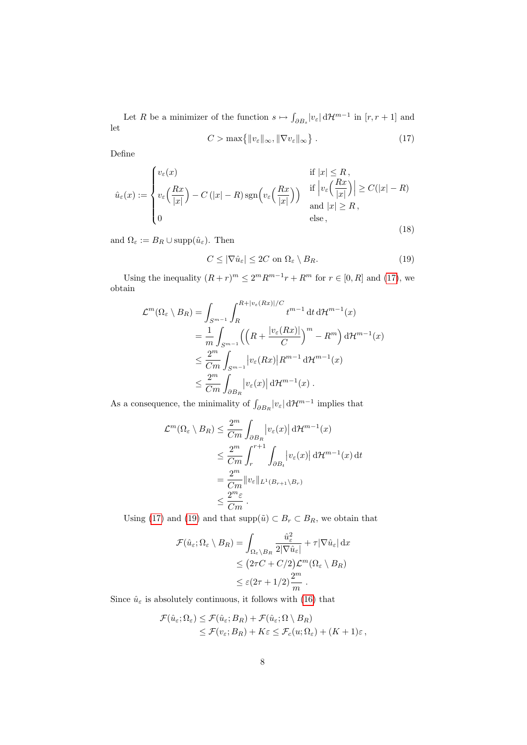<span id="page-9-0"></span>Let R be a minimizer of the function  $s \mapsto \int_{\partial B_s} |v_\varepsilon| d\mathcal{H}^{m-1}$  in  $[r, r+1]$  and let  $C > \max\{\|v\|$ 

$$
C > \max\{\|v_{\varepsilon}\|_{\infty}, \|\nabla v_{\varepsilon}\|_{\infty}\}.
$$
 (17)

<span id="page-9-2"></span>Define

$$
\hat{u}_{\varepsilon}(x) := \begin{cases} v_{\varepsilon}(x) & \text{if } |x| \le R, \\ v_{\varepsilon}\left(\frac{Rx}{|x|}\right) - C\left(|x| - R\right) \text{sgn}\left(v_{\varepsilon}\left(\frac{Rx}{|x|}\right)\right) & \text{if } \left|v_{\varepsilon}\left(\frac{Rx}{|x|}\right)\right| \ge C(|x| - R) \\ 0 & \text{and } |x| \ge R, \\ 0 & \text{else,} \end{cases}
$$
\n
$$
(18)
$$

and  $\Omega_{\varepsilon} := B_R \cup \text{supp}(\hat{u}_{\varepsilon})$ . Then

<span id="page-9-1"></span>
$$
C \le |\nabla \hat{u}_{\varepsilon}| \le 2C \text{ on } \Omega_{\varepsilon} \setminus B_R. \tag{19}
$$

Using the inequality  $(R+r)^m \leq 2^m R^{m-1}r + R^m$  for  $r \in [0, R]$  and [\(17\)](#page-9-0), we obtain

$$
\mathcal{L}^{m}(\Omega_{\varepsilon} \setminus B_{R}) = \int_{S^{m-1}} \int_{R}^{R+|v_{\varepsilon}(Rx)|/C} t^{m-1} dt d\mathcal{H}^{m-1}(x)
$$
  
\n
$$
= \frac{1}{m} \int_{S^{m-1}} \left( \left( R + \frac{|v_{\varepsilon}(Rx)|}{C} \right)^{m} - R^{m} \right) d\mathcal{H}^{m-1}(x)
$$
  
\n
$$
\leq \frac{2^{m}}{Cm} \int_{S^{m-1}} |v_{\varepsilon}(Rx)| R^{m-1} d\mathcal{H}^{m-1}(x)
$$
  
\n
$$
\leq \frac{2^{m}}{Cm} \int_{\partial B_{R}} |v_{\varepsilon}(x)| d\mathcal{H}^{m-1}(x) .
$$

As a consequence, the minimality of  $\int_{\partial B_R} |v_{\varepsilon}| d\mathcal{H}^{m-1}$  implies that

$$
\mathcal{L}^m(\Omega_{\varepsilon} \setminus B_R) \leq \frac{2^m}{Cm} \int_{\partial B_R} |v_{\varepsilon}(x)| d\mathcal{H}^{m-1}(x)
$$
  
\n
$$
\leq \frac{2^m}{Cm} \int_r^{r+1} \int_{\partial B_t} |v_{\varepsilon}(x)| d\mathcal{H}^{m-1}(x) dt
$$
  
\n
$$
= \frac{2^m}{Cm} ||v_{\varepsilon}||_{L^1(B_{r+1} \setminus B_r)}
$$
  
\n
$$
\leq \frac{2^m \varepsilon}{Cm} .
$$

Using [\(17\)](#page-9-0) and [\(19\)](#page-9-1) and that  $\text{supp}(\tilde{u}) \subset B_r \subset B_R$ , we obtain that

$$
\mathcal{F}(\hat{u}_{\varepsilon}; \Omega_{\varepsilon} \setminus B_R) = \int_{\Omega_{\varepsilon} \setminus B_R} \frac{\hat{u}_{\varepsilon}^2}{2|\nabla \hat{u}_{\varepsilon}|} + \tau |\nabla \hat{u}_{\varepsilon}| dx
$$
  
\n
$$
\leq (2\tau C + C/2) \mathcal{L}^m (\Omega_{\varepsilon} \setminus B_R)
$$
  
\n
$$
\leq \varepsilon (2\tau + 1/2) \frac{2^m}{m} .
$$

Since  $\hat{u}_\varepsilon$  is absolutely continuous, it follows with [\(16\)](#page-8-2) that

$$
\mathcal{F}(\hat{u}_{\varepsilon}; \Omega_{\varepsilon}) \leq \mathcal{F}(\hat{u}_{\varepsilon}; B_R) + \mathcal{F}(\hat{u}_{\varepsilon}; \Omega \setminus B_R)
$$
  

$$
\leq \mathcal{F}(v_{\varepsilon}; B_R) + K\varepsilon \leq \mathcal{F}_c(u; \Omega_{\varepsilon}) + (K + 1)\varepsilon,
$$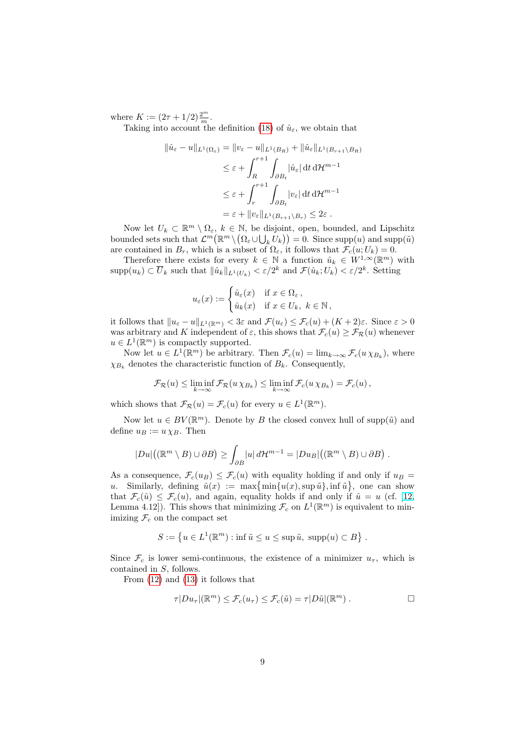where  $K := (2\tau + 1/2) \frac{2^m}{m}$ .

Taking into account the definition [\(18\)](#page-9-2) of  $\hat{u}_{\varepsilon}$ , we obtain that

$$
\|\hat{u}_{\varepsilon} - u\|_{L^{1}(\Omega_{\varepsilon})} = \|v_{\varepsilon} - u\|_{L^{1}(B_{R})} + \|\hat{u}_{\varepsilon}\|_{L^{1}(B_{r+1} \setminus B_{R})}
$$
  

$$
\leq \varepsilon + \int_{R}^{r+1} \int_{\partial B_{t}} |\hat{u}_{\varepsilon}| dt d\mathcal{H}^{m-1}
$$
  

$$
\leq \varepsilon + \int_{r}^{r+1} \int_{\partial B_{t}} |v_{\varepsilon}| dt d\mathcal{H}^{m-1}
$$
  

$$
= \varepsilon + \|v_{\varepsilon}\|_{L^{1}(B_{r+1} \setminus B_{r})} \leq 2\varepsilon.
$$

Now let  $U_k \subset \mathbb{R}^m \setminus \Omega_{\varepsilon}, k \in \mathbb{N}$ , be disjoint, open, bounded, and Lipschitz bounded sets such that  $\mathcal{L}^m(\mathbb{R}^m \setminus (\Omega_\varepsilon \cup \bigcup_k U_k)) = 0$ . Since  $\text{supp}(u)$  and  $\text{supp}(\tilde{u})$ are contained in  $B_r$ , which is a subset of  $\Omega_{\varepsilon}$ , it follows that  $\mathcal{F}_c(u;U_k) = 0$ .

Therefore there exists for every  $k \in \mathbb{N}$  a function  $\hat{u}_k \in W^{1,\infty}(\mathbb{R}^m)$  with  $\text{supp}(u_k) \subset \overline{U}_k$  such that  $\|\hat{u}_k\|_{L^1(U_k)} < \varepsilon/2^k$  and  $\mathcal{F}(\hat{u}_k; U_k) < \varepsilon/2^k$ . Setting

$$
u_{\varepsilon}(x) := \begin{cases} \hat{u}_{\varepsilon}(x) & \text{if } x \in \Omega_{\varepsilon} \,, \\ \hat{u}_{k}(x) & \text{if } x \in U_{k}, \ k \in \mathbb{N} \,, \end{cases}
$$

it follows that  $||u_{\varepsilon} - u||_{L^1(\mathbb{R}^m)} < 3\varepsilon$  and  $\mathcal{F}(u_{\varepsilon}) \leq \mathcal{F}_c(u) + (K+2)\varepsilon$ . Since  $\varepsilon > 0$ was arbitrary and K independent of  $\varepsilon$ , this shows that  $\mathcal{F}_c(u) \geq \mathcal{F}_{\mathcal{R}}(u)$  whenever  $u \in L^1(\mathbb{R}^m)$  is compactly supported.

Now let  $u \in L^1(\mathbb{R}^m)$  be arbitrary. Then  $\mathcal{F}_c(u) = \lim_{k \to \infty} \mathcal{F}_c(u \chi_{B_k}),$  where  $\chi_{B_k}$  denotes the characteristic function of  $B_k$ . Consequently,

$$
\mathcal{F}_{\mathcal{R}}(u) \leq \liminf_{k \to \infty} \mathcal{F}_{\mathcal{R}}(u \chi_{B_k}) \leq \liminf_{k \to \infty} \mathcal{F}_c(u \chi_{B_k}) = \mathcal{F}_c(u),
$$

which shows that  $\mathcal{F}_{\mathcal{R}}(u) = \mathcal{F}_c(u)$  for every  $u \in L^1(\mathbb{R}^m)$ .

Now let  $u \in BV(\mathbb{R}^m)$ . Denote by B the closed convex hull of supp $(\tilde{u})$  and define  $u_B := u \chi_B$ . Then

$$
|Du|\big((\mathbb{R}^m\setminus B)\cup\partial B\big)\geq \int_{\partial B}|u|\,d\mathcal{H}^{m-1}=|Du_B|\big((\mathbb{R}^m\setminus B)\cup\partial B\big)\,.
$$

As a consequence,  $\mathcal{F}_c(u_B) \leq \mathcal{F}_c(u)$  with equality holding if and only if  $u_B =$ u. Similarly, defining  $\hat{u}(x) := \max\{\min\{u(x), \sup \tilde{u}\}, \inf \tilde{u}\}\)$ , one can show that  $\mathcal{F}_c(\hat{u}) \leq \mathcal{F}_c(u)$ , and again, equality holds if and only if  $\hat{u} = u$  (cf. [\[12,](#page-24-7) Lemma 4.12]). This shows that minimizing  $\mathcal{F}_c$  on  $L^1(\mathbb{R}^m)$  is equivalent to minimizing  $\mathcal{F}_c$  on the compact set

$$
S := \left\{ u \in L^1(\mathbb{R}^m) : \inf \tilde{u} \le u \le \sup \tilde{u}, \sup p(u) \subset B \right\}.
$$

Since  $\mathcal{F}_c$  is lower semi-continuous, the existence of a minimizer  $u_{\tau}$ , which is contained in S, follows.

From [\(12\)](#page-6-2) and [\(13\)](#page-6-3) it follows that

$$
\tau |Du_{\tau}|(\mathbb{R}^m) \leq \mathcal{F}_c(u_{\tau}) \leq \mathcal{F}_c(\tilde{u}) = \tau |D\tilde{u}|(\mathbb{R}^m) . \qquad \Box
$$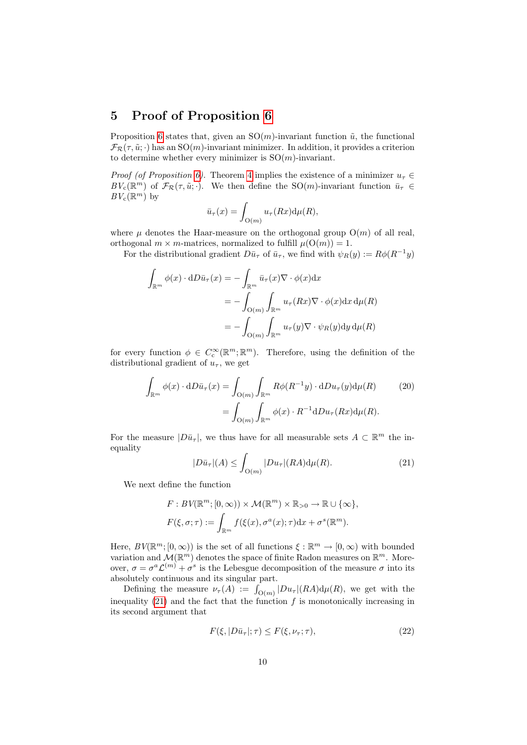#### <span id="page-11-0"></span>5 Proof of Proposition [6](#page-7-0)

Proposition [6](#page-7-0) states that, given an  $SO(m)$ -invariant function  $\tilde{u}$ , the functional  $\mathcal{F}_{\mathcal{R}}(\tau, \tilde{u}; \cdot)$  has an SO(m)-invariant minimizer. In addition, it provides a criterion to determine whether every minimizer is  $SO(m)$ -invariant.

*Proof (of Proposition [6\)](#page-7-0).* Theorem [4](#page-6-0) implies the existence of a minimizer  $u<sub>\tau</sub> \in$  $BV_c(\mathbb{R}^m)$  of  $\mathcal{F}_{\mathcal{R}}(\tau,\tilde{u};\cdot)$ . We then define the SO(*m*)-invariant function  $\bar{u}_{\tau} \in$  $BV_{\mathbf{c}}(\mathbb{R}^m)$  by

$$
\bar{u}_{\tau}(x) = \int_{\mathcal{O}(m)} u_{\tau}(Rx) d\mu(R),
$$

where  $\mu$  denotes the Haar-measure on the orthogonal group  $O(m)$  of all real, orthogonal  $m \times m$ -matrices, normalized to fulfill  $\mu(O(m)) = 1$ .

For the distributional gradient  $D\bar{u}_{\tau}$  of  $\bar{u}_{\tau}$ , we find with  $\psi_R(y) := R\phi(R^{-1}y)$ 

$$
\int_{\mathbb{R}^m} \phi(x) \cdot dD\bar{u}_{\tau}(x) = -\int_{\mathbb{R}^m} \bar{u}_{\tau}(x) \nabla \cdot \phi(x) dx
$$
\n
$$
= -\int_{\mathcal{O}(m)} \int_{\mathbb{R}^m} u_{\tau}(Rx) \nabla \cdot \phi(x) dx d\mu(R)
$$
\n
$$
= -\int_{\mathcal{O}(m)} \int_{\mathbb{R}^m} u_{\tau}(y) \nabla \cdot \psi_R(y) dy d\mu(R)
$$

for every function  $\phi \in C_c^{\infty}(\mathbb{R}^m;\mathbb{R}^m)$ . Therefore, using the definition of the distributional gradient of  $u_{\tau}$ , we get

$$
\int_{\mathbb{R}^m} \phi(x) \cdot dD\bar{u}_{\tau}(x) = \int_{\mathcal{O}(m)} \int_{\mathbb{R}^m} R\phi(R^{-1}y) \cdot dD u_{\tau}(y) d\mu(R) \qquad (20)
$$

$$
= \int_{\mathcal{O}(m)} \int_{\mathbb{R}^m} \phi(x) \cdot R^{-1} dD u_{\tau}(Rx) d\mu(R).
$$

<span id="page-11-1"></span>For the measure  $|D\bar{u}_{\tau}|$ , we thus have for all measurable sets  $A \subset \mathbb{R}^m$  the inequality

<span id="page-11-3"></span>
$$
|D\bar{u}_{\tau}|(A) \le \int_{\mathcal{O}(m)} |Du_{\tau}|(RA) d\mu(R). \tag{21}
$$

We next define the function

$$
F: BV(\mathbb{R}^m; [0, \infty)) \times \mathcal{M}(\mathbb{R}^m) \times \mathbb{R}_{>0} \to \mathbb{R} \cup \{\infty\},
$$
  

$$
F(\xi, \sigma; \tau) := \int_{\mathbb{R}^m} f(\xi(x), \sigma^a(x); \tau) dx + \sigma^s(\mathbb{R}^m).
$$

Here,  $BV(\mathbb{R}^m; [0, \infty))$  is the set of all functions  $\xi : \mathbb{R}^m \to [0, \infty)$  with bounded variation and  $\mathcal{M}(\mathbb{R}^m)$  denotes the space of finite Radon measures on  $\mathbb{R}^m$ . Moreover,  $\sigma = \sigma^a \mathcal{L}^{(m)} + \sigma^s$  is the Lebesgue decomposition of the measure  $\sigma$  into its absolutely continuous and its singular part.

Defining the measure  $\nu_{\tau}(A) := \int_{\mathcal{O}(m)} |Du_{\tau}| (RA) d\mu(R)$ , we get with the inequality  $(21)$  and the fact that the function f is monotonically increasing in its second argument that

<span id="page-11-2"></span>
$$
F(\xi, |D\bar{u}_{\tau}|; \tau) \le F(\xi, \nu_{\tau}; \tau), \tag{22}
$$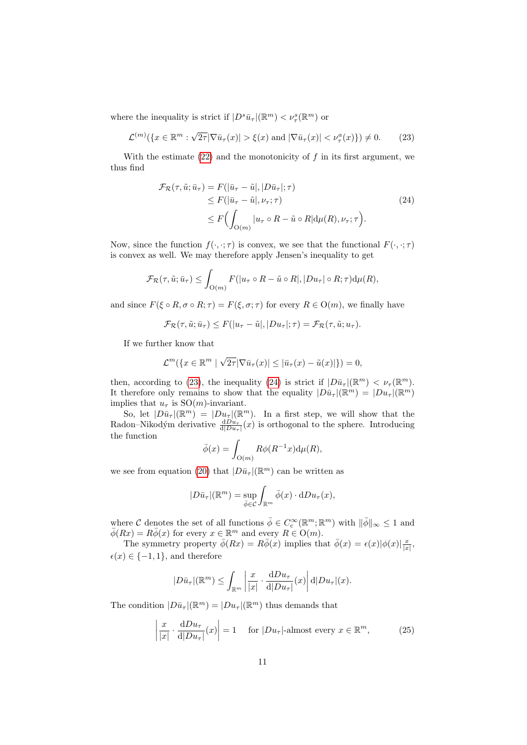where the inequality is strict if  $|D^s \bar{u}_\tau|(\mathbb{R}^m) < \nu_\tau^s(\mathbb{R}^m)$  or

$$
\mathcal{L}^{(m)}(\lbrace x \in \mathbb{R}^m : \sqrt{2\tau} |\nabla \bar{u}_\tau(x)| > \xi(x) \text{ and } |\nabla \bar{u}_\tau(x)| < \nu_\tau^a(x) \rbrace) \neq 0. \tag{23}
$$

With the estimate  $(22)$  and the monotonicity of f in its first argument, we thus find

<span id="page-12-1"></span><span id="page-12-0"></span>
$$
\mathcal{F}_{\mathcal{R}}(\tau, \tilde{u}; \bar{u}_{\tau}) = F(|\bar{u}_{\tau} - \tilde{u}|, |D\bar{u}_{\tau}|; \tau) \n\leq F(|\bar{u}_{\tau} - \tilde{u}|, \nu_{\tau}; \tau) \n\leq F\Big(\int_{O(m)} |u_{\tau} \circ R - \tilde{u} \circ R| d\mu(R), \nu_{\tau}; \tau\Big).
$$
\n(24)

Now, since the function  $f(\cdot, \cdot; \tau)$  is convex, we see that the functional  $F(\cdot, \cdot; \tau)$ is convex as well. We may therefore apply Jensen's inequality to get

$$
\mathcal{F}_{\mathcal{R}}(\tau, \tilde{u}; \bar{u}_{\tau}) \leq \int_{O(m)} F(|u_{\tau} \circ R - \tilde{u} \circ R|, |Du_{\tau}| \circ R; \tau) d\mu(R),
$$

and since  $F(\xi \circ R, \sigma \circ R; \tau) = F(\xi, \sigma; \tau)$  for every  $R \in O(m)$ , we finally have

$$
\mathcal{F}_{\mathcal{R}}(\tau, \tilde{u}; \bar{u}_{\tau}) \leq F(|u_{\tau} - \tilde{u}|, |Du_{\tau}|; \tau) = \mathcal{F}_{\mathcal{R}}(\tau, \tilde{u}; u_{\tau}).
$$

If we further know that

$$
\mathcal{L}^m(\lbrace x \in \mathbb{R}^m \mid \sqrt{2\tau}|\nabla \bar{u}_\tau(x)| \leq |\bar{u}_\tau(x) - \tilde{u}(x)| \rbrace) = 0,
$$

then, according to [\(23\)](#page-12-0), the inequality [\(24\)](#page-12-1) is strict if  $|D\bar{u}_{\tau}|(\mathbb{R}^m) < \nu_{\tau}(\mathbb{R}^m)$ . It therefore only remains to show that the equality  $|D\bar{u}_{\tau}|(\mathbb{R}^m) = |Du_{\tau}|(\mathbb{R}^m)$ implies that  $u_{\tau}$  is  $SO(m)$ -invariant.

So, let  $|D\bar{u}_{\tau}|(\mathbb{R}^m)| = |Du_{\tau}|(\mathbb{R}^m)$ . In a first step, we will show that the Radon–Nikodým derivative  $\frac{dDu_{\tau}}{d|Du_{\tau}|}(x)$  is orthogonal to the sphere. Introducing the function

$$
\bar{\phi}(x) = \int_{\mathcal{O}(m)} R\phi(R^{-1}x) d\mu(R),
$$

we see from equation [\(20\)](#page-11-3) that  $|D\bar{u}_{\tau}|(\mathbb{R}^m)$  can be written as

$$
|D\bar{u}_{\tau}|(\mathbb{R}^m) = \sup_{\bar{\phi} \in \mathcal{C}} \int_{\mathbb{R}^m} \bar{\phi}(x) \cdot dDu_{\tau}(x),
$$

where C denotes the set of all functions  $\bar{\phi} \in C_c^{\infty}(\mathbb{R}^m;\mathbb{R}^m)$  with  $\|\bar{\phi}\|_{\infty} \leq 1$  and  $\bar{\phi}(Rx) = R\bar{\phi}(x)$  for every  $x \in \mathbb{R}^m$  and every  $R \in O(m)$ .

The symmetry property  $\bar{\phi}(Rx) = R\bar{\phi}(x)$  implies that  $\bar{\phi}(x) = \epsilon(x)|\phi(x)|\frac{x}{|x|}$ ,  $\epsilon(x) \in \{-1, 1\}$ , and therefore

<span id="page-12-2"></span>
$$
|D\bar{u}_{\tau}|(\mathbb{R}^m) \leq \int_{\mathbb{R}^m} \left| \frac{x}{|x|} \cdot \frac{\mathrm{d}D u_{\tau}}{\mathrm{d}|D u_{\tau}|}(x) \right| \mathrm{d}|D u_{\tau}|(x).
$$

The condition  $|D\bar{u}_{\tau}|(\mathbb{R}^m)| = |Du_{\tau}|(\mathbb{R}^m)$  thus demands that

$$
\left|\frac{x}{|x|} \cdot \frac{\mathrm{d}Du_\tau}{\mathrm{d}|Du_\tau|}(x)\right| = 1 \quad \text{ for } |Du_\tau|\text{-almost every } x \in \mathbb{R}^m,\tag{25}
$$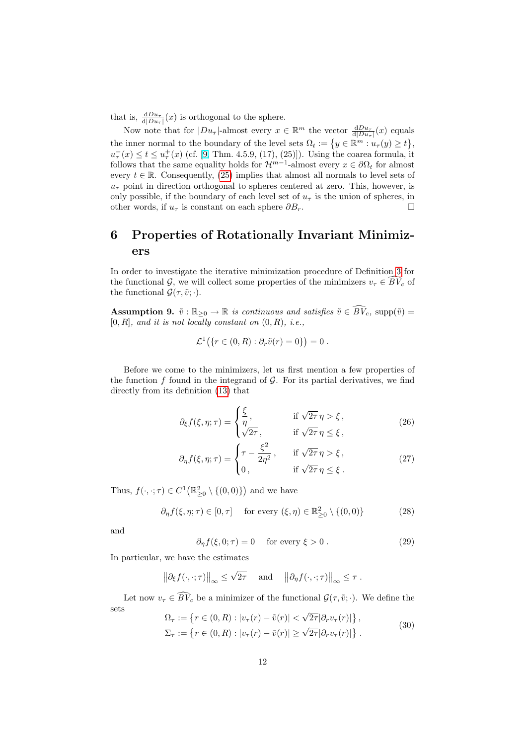that is,  $\frac{dDu_{\tau}}{d|Du_{\tau}|}(x)$  is orthogonal to the sphere.

Now note that for  $|Du_\tau|$ -almost every  $x \in \mathbb{R}^m$  the vector  $\frac{dDu_\tau}{d|Du_\tau|}(x)$  equals the inner normal to the boundary of the level sets  $\Omega_t := \{y \in \mathbb{R}^m : u_\tau(y) \ge t\},\$  $u_{\tau}^{-}(x) \leq t \leq u_{\tau}^{+}(x)$  (cf. [\[9,](#page-24-10) Thm. 4.5.9, (17), (25)]). Using the coarea formula, it follows that the same equality holds for  $\mathcal{H}^{m-1}$ -almost every  $x \in \partial \Omega_t$  for almost every  $t \in \mathbb{R}$ . Consequently, [\(25\)](#page-12-2) implies that almost all normals to level sets of  $u_{\tau}$  point in direction orthogonal to spheres centered at zero. This, however, is only possible, if the boundary of each level set of  $u<sub>\tau</sub>$  is the union of spheres, in other words, if  $u_{\tau}$  is constant on each sphere  $\partial B_{r}$ .

## <span id="page-13-3"></span>6 Properties of Rotationally Invariant Minimizers

In order to investigate the iterative minimization procedure of Definition [3](#page-4-0) for the functional G, we will collect some properties of the minimizers  $v_{\tau} \in \overline{BV}_c$  of the functional  $\mathcal{G}(\tau, \tilde{\mathit{v}}; \cdot)$ .

**Assumption 9.**  $\tilde{v} : \mathbb{R}_{\geq 0} \to \mathbb{R}$  is continuous and satisfies  $\tilde{v} \in \widehat{BV}_c$ , supp $(\tilde{v}) =$  $[0, R]$ , and it is not locally constant on  $(0, R)$ , i.e.,

<span id="page-13-2"></span>
$$
\mathcal{L}^1(\{r \in (0,R) : \partial_r \tilde{v}(r) = 0\}) = 0.
$$

Before we come to the minimizers, let us first mention a few properties of the function  $f$  found in the integrand of  $\mathcal G$ . For its partial derivatives, we find directly from its definition [\(13\)](#page-6-3) that

$$
\partial_{\xi} f(\xi, \eta; \tau) = \begin{cases} \frac{\xi}{\eta}, & \text{if } \sqrt{2\tau} \eta > \xi, \\ \sqrt{2\tau}, & \text{if } \sqrt{2\tau} \eta \le \xi, \end{cases}
$$
(26)

$$
\partial_{\eta} f(\xi, \eta; \tau) = \begin{cases} \tau - \frac{\xi^2}{2\eta^2}, & \text{if } \sqrt{2\tau} \eta > \xi, \\ 0, & \text{if } \sqrt{2\tau} \eta \le \xi. \end{cases}
$$
 (27)

Thus,  $f(\cdot, \cdot; \tau) \in C^1(\mathbb{R}^2_{\geq 0} \setminus \{(0,0)\})$  and we have

$$
\partial_{\eta} f(\xi, \eta; \tau) \in [0, \tau] \quad \text{ for every } (\xi, \eta) \in \mathbb{R}_{\geq 0}^2 \setminus \{(0, 0)\} \tag{28}
$$

<span id="page-13-1"></span>and

<span id="page-13-0"></span>
$$
\partial_{\eta} f(\xi, 0; \tau) = 0 \quad \text{ for every } \xi > 0.
$$
 (29)

In particular, we have the estimates

$$
\|\partial_{\xi} f(\cdot,\cdot;\tau)\|_{\infty} \leq \sqrt{2\tau}
$$
 and  $\|\partial_{\eta} f(\cdot,\cdot;\tau)\|_{\infty} \leq \tau$ .

Let now  $v_{\tau} \in \widehat{BV}_c$  be a minimizer of the functional  $\mathcal{G}(\tau, \tilde{v}; \cdot)$ . We define the sets √

$$
\Omega_{\tau} := \left\{ r \in (0, R) : |v_{\tau}(r) - \tilde{v}(r)| < \sqrt{2\tau} |\partial_r v_{\tau}(r)| \right\},
$$
  
\n
$$
\Sigma_{\tau} := \left\{ r \in (0, R) : |v_{\tau}(r) - \tilde{v}(r)| \ge \sqrt{2\tau} |\partial_r v_{\tau}(r)| \right\}.
$$
\n(30)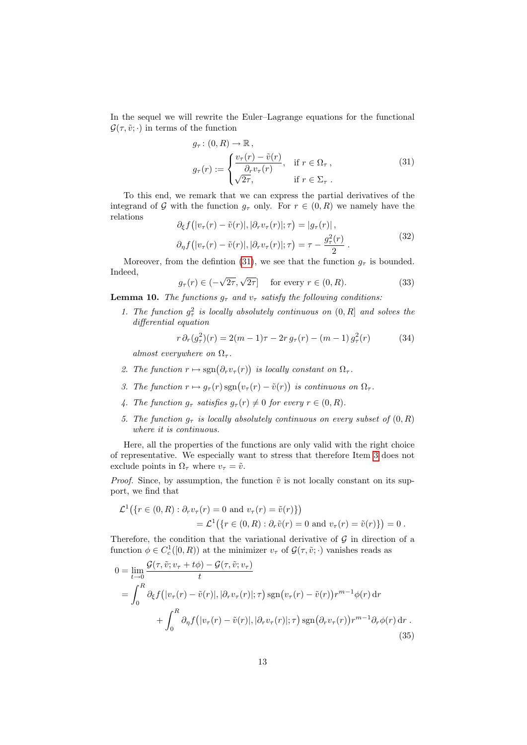In the sequel we will rewrite the Euler–Lagrange equations for the functional  $\mathcal{G}(\tau, \tilde{\upsilon}; \cdot)$  in terms of the function

<span id="page-14-0"></span>
$$
g_{\tau}: (0, R) \to \mathbb{R},
$$
  
\n
$$
g_{\tau}(r) := \begin{cases} \frac{v_{\tau}(r) - \tilde{v}(r)}{\partial_r v_{\tau}(r)}, & \text{if } r \in \Omega_{\tau}, \\ \sqrt{2\tau}, & \text{if } r \in \Sigma_{\tau}. \end{cases}
$$
\n(31)

To this end, we remark that we can express the partial derivatives of the integrand of G with the function  $g_{\tau}$  only. For  $r \in (0, R)$  we namely have the relations

<span id="page-14-6"></span>
$$
\partial_{\xi} f(|v_{\tau}(r) - \tilde{v}(r)|, |\partial_r v_{\tau}(r)|; \tau) = |g_{\tau}(r)|,
$$
  

$$
\partial_{\eta} f(|v_{\tau}(r) - \tilde{v}(r)|, |\partial_r v_{\tau}(r)|; \tau) = \tau - \frac{g_{\tau}^2(r)}{2}.
$$
 (32)

<span id="page-14-8"></span>Moreover, from the defintion [\(31\)](#page-14-0), we see that the function  $g_{\tau}$  is bounded. Indeed,

 $g_{\tau}(r) \in ( \sqrt{2\tau}, \sqrt{2\tau}$  for every  $r \in (0, R)$ . (33)

<span id="page-14-7"></span>**Lemma 10.** The functions  $q_{\tau}$  and  $v_{\tau}$  satisfy the following conditions:

1. The function  $g^2_\tau$  is locally absolutely continuous on  $(0, R]$  and solves the differential equation

<span id="page-14-2"></span>
$$
r \partial_r (g_\tau^2)(r) = 2(m-1)\tau - 2r \, g_\tau(r) - (m-1) \, g_\tau^2(r) \tag{34}
$$

almost everywhere on  $\Omega_{\tau}$ .

- 2. The function  $r \mapsto \text{sgn}(\partial_r v_\tau(r))$  is locally constant on  $\Omega_\tau$ .
- <span id="page-14-1"></span>3. The function  $r \mapsto g_{\tau}(r) \operatorname{sgn}(v_{\tau}(r) - \tilde{v}(r))$  is continuous on  $\Omega_{\tau}$ .
- <span id="page-14-3"></span>4. The function  $q_{\tau}$  satisfies  $q_{\tau}(r) \neq 0$  for every  $r \in (0, R)$ .
- <span id="page-14-4"></span>5. The function  $g_{\tau}$  is locally absolutely continuous on every subset of  $(0, R)$ where it is continuous.

Here, all the properties of the functions are only valid with the right choice of representative. We especially want to stress that therefore Item [3](#page-14-1) does not exclude points in  $\Omega_{\tau}$  where  $v_{\tau} = \tilde{v}$ .

*Proof.* Since, by assumption, the function  $\tilde{v}$  is not locally constant on its support, we find that

<span id="page-14-5"></span>
$$
\mathcal{L}^1(\{r \in (0, R) : \partial_r v_\tau(r) = 0 \text{ and } v_\tau(r) = \tilde{v}(r)\})
$$
  
= 
$$
\mathcal{L}^1(\{\tau \in (0, R) : \partial_r \tilde{v}(r) = 0 \text{ and } v_\tau(r) = \tilde{v}(r)\}) = 0.
$$

Therefore, the condition that the variational derivative of  $G$  in direction of a function  $\phi \in C_c^1([0, R))$  at the minimizer  $v_\tau$  of  $\mathcal{G}(\tau, \tilde{v}; \cdot)$  vanishes reads as

$$
0 = \lim_{t \to 0} \frac{\mathcal{G}(\tau, \tilde{v}; v_{\tau} + t\phi) - \mathcal{G}(\tau, \tilde{v}; v_{\tau})}{t}
$$
  
\n
$$
= \int_{0}^{R} \partial_{\xi} f(|v_{\tau}(r) - \tilde{v}(r)|, |\partial_{r} v_{\tau}(r)|; \tau) \operatorname{sgn}(v_{\tau}(r) - \tilde{v}(r)) r^{m-1} \phi(r) dr
$$
  
\n
$$
+ \int_{0}^{R} \partial_{\eta} f(|v_{\tau}(r) - \tilde{v}(r)|, |\partial_{r} v_{\tau}(r)|; \tau) \operatorname{sgn}(\partial_{r} v_{\tau}(r)) r^{m-1} \partial_{r} \phi(r) dr.
$$
\n(35)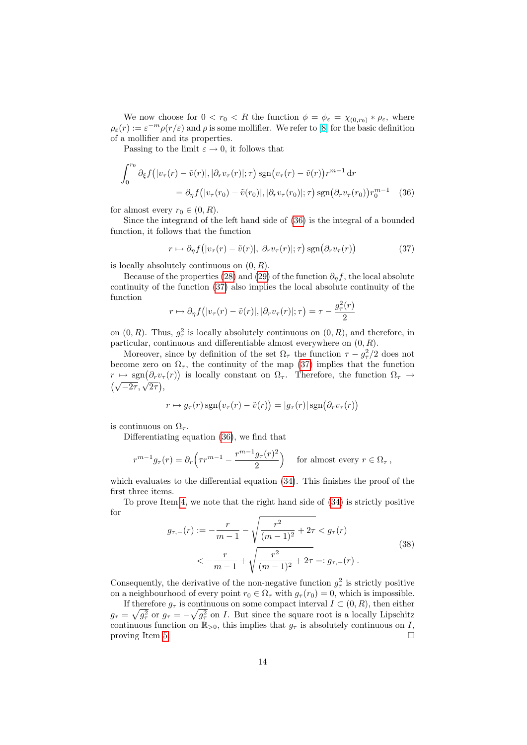We now choose for  $0 < r_0 < R$  the function  $\phi = \phi_{\varepsilon} = \chi_{(0,r_0)} * \rho_{\varepsilon}$ , where  $\rho_{\varepsilon}(r) := \varepsilon^{-m} \rho(r/\varepsilon)$  and  $\rho$  is some mollifier. We refer to [\[8\]](#page-24-8) for the basic definition of a mollifier and its properties.

Passing to the limit  $\varepsilon \to 0$ , it follows that

$$
\int_0^{r_0} \partial_{\xi} f\big(|v_{\tau}(r) - \tilde{v}(r)|, |\partial_r v_{\tau}(r)|; \tau\big) \operatorname{sgn}(v_{\tau}(r) - \tilde{v}(r)) r^{m-1} \operatorname{d}r
$$
  
=  $\partial_{\eta} f\big(|v_{\tau}(r_0) - \tilde{v}(r_0)|, |\partial_r v_{\tau}(r_0)|; \tau\big) \operatorname{sgn}(\partial_r v_{\tau}(r_0)) r_0^{m-1}$  (36)

for almost every  $r_0 \in (0, R)$ .

Since the integrand of the left hand side of [\(36\)](#page-15-0) is the integral of a bounded function, it follows that the function

<span id="page-15-1"></span><span id="page-15-0"></span>
$$
r \mapsto \partial_{\eta} f(|v_{\tau}(r) - \tilde{v}(r)|, |\partial_r v_{\tau}(r)|; \tau) \operatorname{sgn}(\partial_r v_{\tau}(r))
$$
\n(37)

is locally absolutely continuous on  $(0, R)$ .

Because of the properties [\(28\)](#page-13-0) and [\(29\)](#page-13-1) of the function  $\partial_n f$ , the local absolute continuity of the function [\(37\)](#page-15-1) also implies the local absolute continuity of the function  $\sim$ 

$$
r \mapsto \partial_{\eta} f(|v_{\tau}(r) - \tilde{v}(r)|, |\partial_r v_{\tau}(r)|; \tau) = \tau - \frac{g_{\tau}^2(r)}{2}
$$

on  $(0, R)$ . Thus,  $g^2_\tau$  is locally absolutely continuous on  $(0, R)$ , and therefore, in particular, continuous and differentiable almost everywhere on  $(0, R)$ .

Moreover, since by definition of the set  $\Omega_{\tau}$  the function  $\tau - g_{\tau}^2/2$  does not become zero on  $\Omega_{\tau}$ , the continuity of the map [\(37\)](#page-15-1) implies that the function  $r \mapsto \text{sgn}(\partial_r v_\tau(r))$  is locally constant on  $\Omega_\tau$ . Therefore, the function  $\Omega_\tau \to$  $\sqrt{-2\tau}, \sqrt{2\tau}, \sqrt{2\tau}$ 

$$
r \mapsto g_{\tau}(r) \operatorname{sgn}(v_{\tau}(r) - \tilde{v}(r)) = |g_{\tau}(r)| \operatorname{sgn}(\partial_r v_{\tau}(r))
$$

is continuous on  $\Omega_{\tau}$ .

Differentiating equation [\(36\)](#page-15-0), we find that

$$
r^{m-1}g_{\tau}(r) = \partial_r \left( \tau r^{m-1} - \frac{r^{m-1}g_{\tau}(r)^2}{2} \right) \quad \text{for almost every } r \in \Omega_{\tau} \,,
$$

which evaluates to the differential equation  $(34)$ . This finishes the proof of the first three items.

<span id="page-15-2"></span>To prove Item [4,](#page-14-3) we note that the right hand side of [\(34\)](#page-14-2) is strictly positive for

$$
g_{\tau,-}(r) := -\frac{r}{m-1} - \sqrt{\frac{r^2}{(m-1)^2} + 2\tau} < g_{\tau}(r)
$$
  

$$
< -\frac{r}{m-1} + \sqrt{\frac{r^2}{(m-1)^2} + 2\tau} =: g_{\tau,+}(r) .
$$
 (38)

Consequently, the derivative of the non-negative function  $g^2_\tau$  is strictly positive on a neighbourhood of every point  $r_0 \in \Omega_\tau$  with  $g_\tau(r_0) = 0$ , which is impossible.

If therefore  $g_{\tau}$  is continuous on some compact interval  $I \subset (0, R)$ , then either  $g_{\tau} = \sqrt{g_{\tau}^2}$  or  $g_{\tau} = -\sqrt{g_{\tau}^2}$  on *I*. But since the square root is a locally Lipschitz continuous function on  $\mathbb{R}_{>0}$ , this implies that  $g_{\tau}$  is absolutely continuous on I, proving Item [5.](#page-14-4)  $\Box$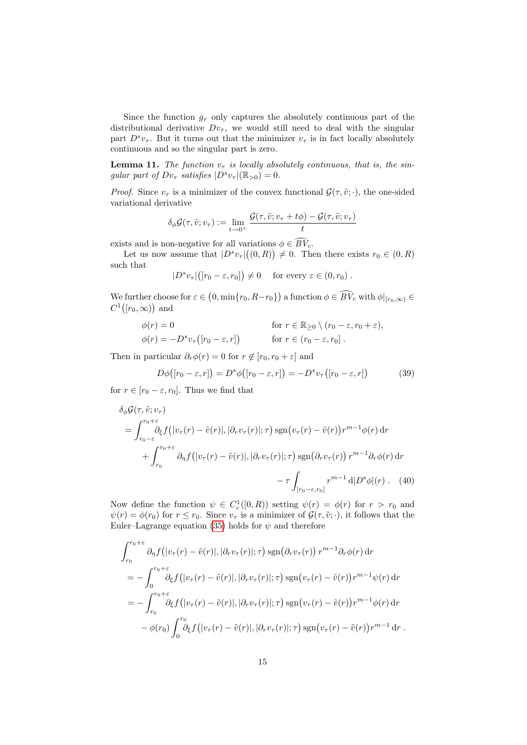Since the function  $g_{\tau}$  only captures the absolutely continuous part of the distributional derivative  $Dv_\tau$ , we would still need to deal with the singular part  $D^s v_\tau$ . But it turns out that the minimizer  $v_\tau$  is in fact locally absolutely continuous and so the singular part is zero.

<span id="page-16-2"></span>**Lemma 11.** The function  $v_{\tau}$  is locally absolutely continuous, that is, the singular part of  $Dv_\tau$  satisfies  $|D^s v_\tau|(\mathbb{R}_{>0})=0$ .

*Proof.* Since  $v_{\tau}$  is a minimizer of the convex functional  $\mathcal{G}(\tau, \tilde{v}; \cdot)$ , the one-sided variational derivative

$$
\delta_{\phi}\mathcal{G}(\tau,\tilde{v};v_{\tau}) := \lim_{t \to 0^+} \frac{\mathcal{G}(\tau,\tilde{v};v_{\tau} + t\phi) - \mathcal{G}(\tau,\tilde{v};v_{\tau})}{t}
$$

exists and is non-negative for all variations  $\phi \in \widehat{BV}_c$ .

Let us now assume that  $|D^s v_\tau|((0,R)) \neq 0$ . Then there exists  $r_0 \in (0,R)$ such that

$$
|D^s v_\tau|([r_0-\varepsilon,r_0]) \neq 0 \quad \text{ for every } \varepsilon \in (0,r_0) .
$$

We further choose for  $\varepsilon \in (0, \min\{r_0, R-r_0\})$  a function  $\phi \in \overline{BV}_c$  with  $\phi|_{[r_0,\infty)} \in$  $C^1([r_0,\infty))$  and

$$
\begin{aligned}\n\phi(r) &= 0 & \text{for } r \in \mathbb{R}_{\geq 0} \setminus (r_0 - \varepsilon, r_0 + \varepsilon), \\
\phi(r) &= -D^s v_\tau \big( [r_0 - \varepsilon, r] \big) & \text{for } r \in (r_0 - \varepsilon, r_0].\n\end{aligned}
$$

Then in particular  $\partial_r \phi(r) = 0$  for  $r \notin [r_0, r_0 + \varepsilon]$  and

<span id="page-16-1"></span><span id="page-16-0"></span>
$$
D\phi([r_0 - \varepsilon, r]) = D^s \phi([r_0 - \varepsilon, r]) = -D^s v_\tau([r_0 - \varepsilon, r]) \tag{39}
$$

for  $r \in [r_0 - \varepsilon, r_0]$ . Thus we find that

$$
\delta_{\phi}\mathcal{G}(\tau,\tilde{v};v_{\tau})
$$
\n
$$
= \int_{r_0-\varepsilon}^{r_0+\varepsilon} \partial_{\xi}f(|v_{\tau}(r)-\tilde{v}(r)|,|\partial_r v_{\tau}(r)|;\tau) \operatorname{sgn}(v_{\tau}(r)-\tilde{v}(r))r^{m-1}\phi(r) dr
$$
\n
$$
+ \int_{r_0}^{r_0+\varepsilon} \partial_{\eta}f(|v_{\tau}(r)-\tilde{v}(r)|,|\partial_r v_{\tau}(r)|;\tau) \operatorname{sgn}(\partial_r v_{\tau}(r))r^{m-1}\partial_r\phi(r) dr
$$
\n
$$
- \tau \int_{[r_0-\varepsilon,r_0]} r^{m-1} d|D^s\phi|(r) . \quad (40)
$$

Now define the function  $\psi \in C_c^1([0,R))$  setting  $\psi(r) = \phi(r)$  for  $r > r_0$  and  $\psi(r) = \phi(r_0)$  for  $r \leq r_0$ . Since  $v_\tau$  is a minimizer of  $\mathcal{G}(\tau, \tilde{v}; \cdot)$ , it follows that the Euler–Lagrange equation [\(35\)](#page-14-5) holds for  $\psi$  and therefore

$$
\int_{r_0}^{r_0+\varepsilon} \partial_{\eta} f(|v_{\tau}(r)-\tilde{v}(r)|, |\partial_r v_{\tau}(r)|; \tau) \operatorname{sgn}(\partial_r v_{\tau}(r)) r^{m-1} \partial_r \phi(r) dr \n= -\int_0^{r_0+\varepsilon} \partial_{\xi} f(|v_{\tau}(r)-\tilde{v}(r)|, |\partial_r v_{\tau}(r)|; \tau) \operatorname{sgn}(v_{\tau}(r)-\tilde{v}(r)) r^{m-1} \psi(r) dr \n= -\int_{r_0}^{r_0+\varepsilon} \partial_{\xi} f(|v_{\tau}(r)-\tilde{v}(r)|, |\partial_r v_{\tau}(r)|; \tau) \operatorname{sgn}(v_{\tau}(r)-\tilde{v}(r)) r^{m-1} \phi(r) dr \n- \phi(r_0) \int_0^{r_0} \partial_{\xi} f(|v_{\tau}(r)-\tilde{v}(r)|, |\partial_r v_{\tau}(r)|; \tau) \operatorname{sgn}(v_{\tau}(r)-\tilde{v}(r)) r^{m-1} dr.
$$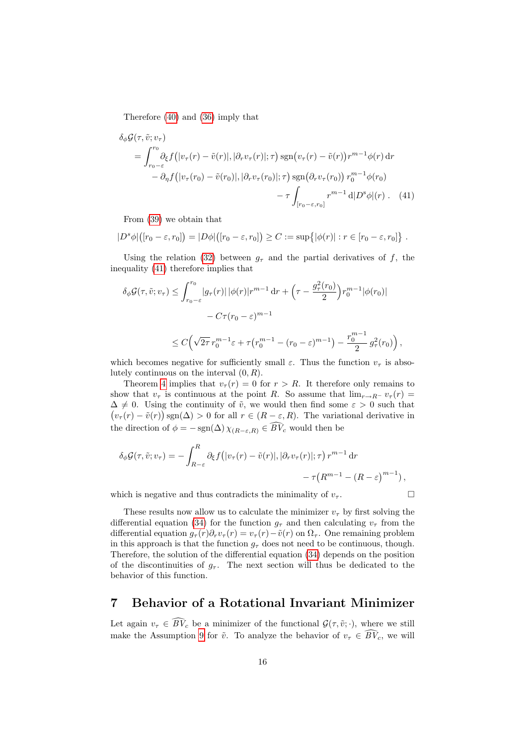Therefore [\(40\)](#page-16-0) and [\(36\)](#page-15-0) imply that

$$
\delta_{\phi}\mathcal{G}(\tau,\tilde{v};v_{\tau})
$$
\n
$$
= \int_{r_0-\varepsilon}^{r_0} \partial_{\xi} f\left(|v_{\tau}(r)-\tilde{v}(r)|,|\partial_r v_{\tau}(r)|;\tau\right) \operatorname{sgn}\left(v_{\tau}(r)-\tilde{v}(r)\right) r^{m-1}\phi(r) dr
$$
\n
$$
- \partial_{\eta} f\left(|v_{\tau}(r_0)-\tilde{v}(r_0)|,|\partial_r v_{\tau}(r_0)|;\tau\right) \operatorname{sgn}\left(\partial_r v_{\tau}(r_0)\right) r_0^{m-1}\phi(r_0)
$$
\n
$$
- \tau \int_{[r_0-\varepsilon,r_0]} r^{m-1} d|D^s\phi|(r) . \quad (41)
$$

<span id="page-17-0"></span>From [\(39\)](#page-16-1) we obtain that

$$
|D^s\phi|\big([r_0-\varepsilon,r_0]\big)=|D\phi|\big([r_0-\varepsilon,r_0]\big)\geq C:=\sup\big\{|\phi(r)|:r\in[r_0-\varepsilon,r_0]\big\}\ .
$$

Using the relation [\(32\)](#page-14-6) between  $g<sub>\tau</sub>$  and the partial derivatives of f, the inequality [\(41\)](#page-17-0) therefore implies that

$$
\delta_{\phi}\mathcal{G}(\tau,\tilde{v};v_{\tau}) \leq \int_{r_0-\varepsilon}^{r_0} |g_{\tau}(r)| |\phi(r)| r^{m-1} dr + \left(\tau - \frac{g_{\tau}^2(r_0)}{2}\right) r_0^{m-1} |\phi(r_0)|
$$
  

$$
- C\tau(r_0 - \varepsilon)^{m-1}
$$
  

$$
\leq C \left(\sqrt{2\tau} r_0^{m-1} \varepsilon + \tau (r_0^{m-1} - (r_0 - \varepsilon)^{m-1}) - \frac{r_0^{m-1}}{2} g_{\tau}^2(r_0)\right),
$$

which becomes negative for sufficiently small  $\varepsilon$ . Thus the function  $v_{\tau}$  is absolutely continuous on the interval  $(0, R)$ .

Theorem [4](#page-6-0) implies that  $v_\tau(r) = 0$  for  $r > R$ . It therefore only remains to show that  $v_{\tau}$  is continuous at the point R. So assume that  $\lim_{r\to R^{-}} v_{\tau}(r) =$  $\Delta \neq 0$ . Using the continuity of  $\tilde{v}$ , we would then find some  $\varepsilon > 0$  such that  $(v_\tau(r) - \tilde{v}(r))$  sgn( $\Delta$ ) > 0 for all  $r \in (R - \varepsilon, R)$ . The variational derivative in the direction of  $\phi = -\operatorname{sgn}(\Delta) \chi_{(R-\varepsilon,R)} \in \widehat{BV}_c$  would then be

$$
\delta_{\phi}\mathcal{G}(\tau,\tilde{v};v_{\tau}) = -\int_{R-\varepsilon}^{R} \partial_{\xi}f(|v_{\tau}(r)-\tilde{v}(r)|,|\partial_{r}v_{\tau}(r)|;\tau) r^{m-1} dr -\tau(R^{m-1}-(R-\varepsilon)^{m-1}),
$$

which is negative and thus contradicts the minimality of  $v_{\tau}$ .

These results now allow us to calculate the minimizer  $v<sub>\tau</sub>$  by first solving the differential equation [\(34\)](#page-14-2) for the function  $g_{\tau}$  and then calculating  $v_{\tau}$  from the differential equation  $g_{\tau}(r)\partial_r v_{\tau}(r) = v_{\tau}(r) - \tilde{v}(r)$  on  $\Omega_{\tau}$ . One remaining problem in this approach is that the function  $g_{\tau}$  does not need to be continuous, though. Therefore, the solution of the differential equation [\(34\)](#page-14-2) depends on the position of the discontinuities of  $g_{\tau}$ . The next section will thus be dedicated to the behavior of this function.

### <span id="page-17-1"></span>7 Behavior of a Rotational Invariant Minimizer

Let again  $v_{\tau} \in \widehat{BV}_c$  be a minimizer of the functional  $\mathcal{G}(\tau, \tilde{v}; \cdot)$ , where we still make the Assumption [9](#page-13-2) for  $\tilde{v}$ . To analyze the behavior of  $v_{\tau} \in \widehat{BV}_c$ , we will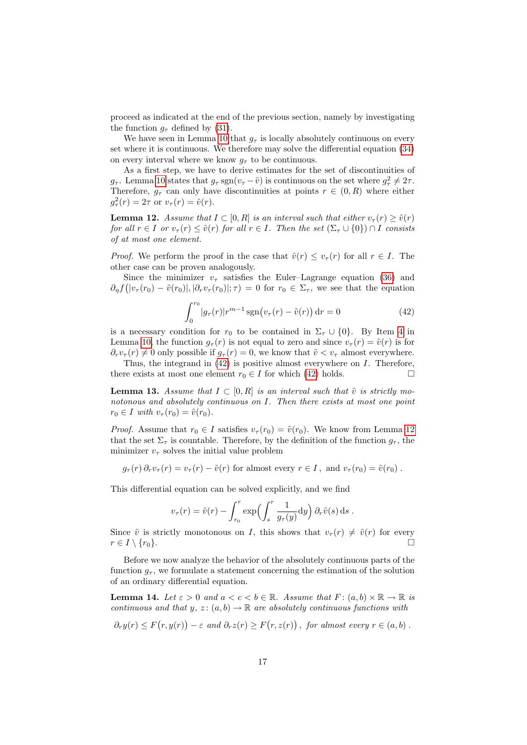proceed as indicated at the end of the previous section, namely by investigating the function  $g_{\tau}$  defined by [\(31\)](#page-14-0).

We have seen in Lemma [10](#page-14-7) that  $g_{\tau}$  is locally absolutely continuous on every set where it is continuous. We therefore may solve the differential equation [\(34\)](#page-14-2) on every interval where we know  $g_{\tau}$  to be continuous.

As a first step, we have to derive estimates for the set of discontinuities of  $g_{\tau}$ . Lemma [10](#page-14-7) states that  $g_{\tau}$  sgn $(v_{\tau}-\tilde{v})$  is continuous on the set where  $g_{\tau}^2 \neq 2\tau$ . Therefore,  $g_{\tau}$  can only have discontinuities at points  $r \in (0, R)$  where either  $g_{\tau}^2(r) = 2\tau$  or  $v_{\tau}(r) = \tilde{v}(r)$ .

<span id="page-18-1"></span>**Lemma 12.** Assume that  $I \subset [0, R]$  is an interval such that either  $v_\tau(r) \geq \tilde{v}(r)$ for all  $r \in I$  or  $v_\tau(r) \leq \tilde{v}(r)$  for all  $r \in I$ . Then the set  $(\Sigma_\tau \cup \{0\}) \cap I$  consists of at most one element.

*Proof.* We perform the proof in the case that  $\tilde{v}(r) \le v_\tau(r)$  for all  $r \in I$ . The other case can be proven analogously.

<span id="page-18-0"></span>Since the minimizer  $v_{\tau}$  satisfies the Euler–Lagrange equation [\(36\)](#page-15-0) and  $\partial_{\eta} f(|v_{\tau}(r_0) - \tilde{v}(r_0)|, |\partial_r v_{\tau}(r_0)|; \tau) = 0$  for  $r_0 \in \Sigma_{\tau}$ , we see that the equation

$$
\int_0^{r_0} |g_\tau(r)| r^{m-1} \operatorname{sgn}(v_\tau(r) - \tilde{v}(r)) \, \mathrm{d}r = 0 \tag{42}
$$

is a necessary condition for  $r_0$  to be contained in  $\Sigma_{\tau} \cup \{0\}$ . By Item [4](#page-14-3) in Lemma [10,](#page-14-7) the function  $g_{\tau}(r)$  is not equal to zero and since  $v_{\tau}(r) = \tilde{v}(r)$  is for  $\partial_r v_\tau(r) \neq 0$  only possible if  $g_\tau(r) = 0$ , we know that  $\tilde{v} < v_\tau$  almost everywhere.

Thus, the integrand in [\(42\)](#page-18-0) is positive almost everywhere on I. Therefore, there exists at most one element  $r_0 \in I$  for which [\(42\)](#page-18-0) holds.

<span id="page-18-3"></span>**Lemma 13.** Assume that  $I \subset [0, R]$  is an interval such that  $\tilde{v}$  is strictly monotonous and absolutely continuous on I. Then there exists at most one point  $r_0 \in I$  with  $v_\tau(r_0) = \tilde{v}(r_0)$ .

*Proof.* Assume that  $r_0 \in I$  satisfies  $v_\tau(r_0) = \tilde{v}(r_0)$ . We know from Lemma [12](#page-18-1) that the set  $\Sigma_{\tau}$  is countable. Therefore, by the definition of the function  $g_{\tau}$ , the minimizer  $v_{\tau}$  solves the initial value problem

$$
g_{\tau}(r) \partial_r v_{\tau}(r) = v_{\tau}(r) - \tilde{v}(r)
$$
 for almost every  $r \in I$ , and  $v_{\tau}(r_0) = \tilde{v}(r_0)$ .

This differential equation can be solved explicitly, and we find

$$
v_{\tau}(r) = \tilde{v}(r) - \int_{r_0}^r \exp\left(\int_s^r \frac{1}{g_{\tau}(y)} dy\right) \partial_r \tilde{v}(s) ds.
$$

Since  $\tilde{v}$  is strictly monotonous on I, this shows that  $v_{\tau} (r) \neq \tilde{v}(r)$  for every  $r \in I \setminus \{r_0\}.$ 

Before we now analyze the behavior of the absolutely continuous parts of the function  $g_{\tau}$ , we formulate a statement concerning the estimation of the solution of an ordinary differential equation.

<span id="page-18-2"></span>**Lemma 14.** Let  $\varepsilon > 0$  and  $a < c < b \in \mathbb{R}$ . Assume that  $F : (a, b) \times \mathbb{R} \to \mathbb{R}$  is continuous and that y,  $z : (a, b) \to \mathbb{R}$  are absolutely continuous functions with

$$
\partial_r y(r) \leq F(r, y(r)) - \varepsilon \text{ and } \partial_r z(r) \geq F(r, z(r)), \text{ for almost every } r \in (a, b).
$$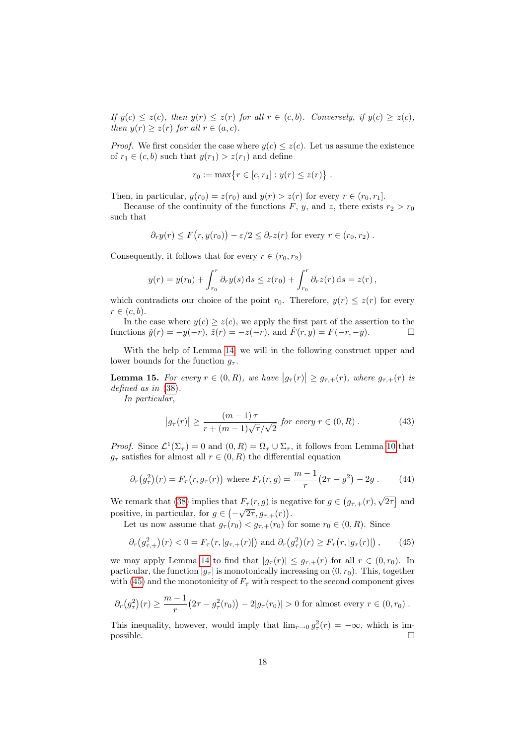If  $y(c) \leq z(c)$ , then  $y(r) \leq z(r)$  for all  $r \in (c, b)$ . Conversely, if  $y(c) \geq z(c)$ , then  $y(r) \geq z(r)$  for all  $r \in (a, c)$ .

*Proof.* We first consider the case where  $y(c) \leq z(c)$ . Let us assume the existence of  $r_1 \in (c, b)$  such that  $y(r_1) > z(r_1)$  and define

$$
r_0 := \max\{r \in [c, r_1] : y(r) \le z(r)\} .
$$

Then, in particular,  $y(r_0) = z(r_0)$  and  $y(r) > z(r)$  for every  $r \in (r_0, r_1]$ .

Because of the continuity of the functions F, y, and z, there exists  $r_2 > r_0$ such that

$$
\partial_r y(r) \leq F(r, y(r_0)) - \varepsilon/2 \leq \partial_r z(r)
$$
 for every  $r \in (r_0, r_2)$ .

Consequently, it follows that for every  $r \in (r_0, r_2)$ 

$$
y(r) = y(r_0) + \int_{r_0}^r \partial_r y(s) ds \le z(r_0) + \int_{r_0}^r \partial_r z(r) ds = z(r),
$$

which contradicts our choice of the point  $r_0$ . Therefore,  $y(r) \leq z(r)$  for every  $r \in (c, b).$ 

In the case where  $y(c) \geq z(c)$ , we apply the first part of the assertion to the functions  $\tilde{y}(r) = -y(-r)$ ,  $\tilde{z}(r) = -z(-r)$ , and  $\tilde{F}(r, y) = F(-r, -y)$ .

With the help of Lemma [14,](#page-18-2) we will in the following construct upper and lower bounds for the function  $q_{\tau}$ .

<span id="page-19-2"></span>**Lemma 15.** For every  $r \in (0, R)$ , we have  $|g_{\tau}(r)| \geq g_{\tau,+}(r)$ , where  $g_{\tau,+}(r)$  is defined as in [\(38\)](#page-15-2).

In particular,

<span id="page-19-3"></span><span id="page-19-1"></span><span id="page-19-0"></span>
$$
\left|g_{\tau}(r)\right| \ge \frac{\left(m-1\right)\tau}{r + \left(m-1\right)\sqrt{\tau}/\sqrt{2}} \text{ for every } r \in (0, R) . \tag{43}
$$

*Proof.* Since  $\mathcal{L}^1(\Sigma_\tau) = 0$  and  $(0, R) = \Omega_\tau \cup \Sigma_\tau$ , it follows from Lemma [10](#page-14-7) that  $g_{\tau}$  satisfies for almost all  $r \in (0, R)$  the differential equation

$$
\partial_r(g_\tau^2)(r) = F_\tau(r, g_\tau(r))
$$
 where  $F_\tau(r, g) = \frac{m-1}{r}(2\tau - g^2) - 2g$ . (44)

We remark that [\(38\)](#page-15-2) implies that  $F_{\tau}(r, g)$  is negative for  $g \in (g_{\tau,+}(r), g)$ √  $F_{\tau}(r, g)$  is negative for  $g \in (g_{\tau,+}(r), \sqrt{2\tau}]$  and positive, in particular, for  $g \in (-\sqrt{2\tau}, g_{\tau,+}(r))$ .

Let us now assume that  $g_{\tau}(r_0) < g_{\tau,+}(r_0)$  for some  $r_0 \in (0, R)$ . Since

$$
\partial_r(g_{\tau,+}^2)(r) < 0 = F_\tau(r, |g_{\tau,+}(r)|) \text{ and } \partial_r(g_{\tau}^2)(r) \ge F_\tau(r, |g_{\tau}(r)|),
$$
\n(45)

we may apply Lemma [14](#page-18-2) to find that  $|g_{\tau}(r)| \leq g_{\tau,+}(r)$  for all  $r \in (0, r_0)$ . In particular, the function  $|g_{\tau}|$  is monotonically increasing on  $(0, r_0)$ . This, together with [\(45\)](#page-19-0) and the monotonicity of  $F_{\tau}$  with respect to the second component gives

$$
\partial_r(g_\tau^2)(r) \ge \frac{m-1}{r} (2\tau - g_\tau^2(r_0)) - 2|g_\tau(r_0)| > 0 \text{ for almost every } r \in (0, r_0).
$$

This inequality, however, would imply that  $\lim_{r\to 0} g_\tau^2(r) = -\infty$ , which is im- $\Box$  possible.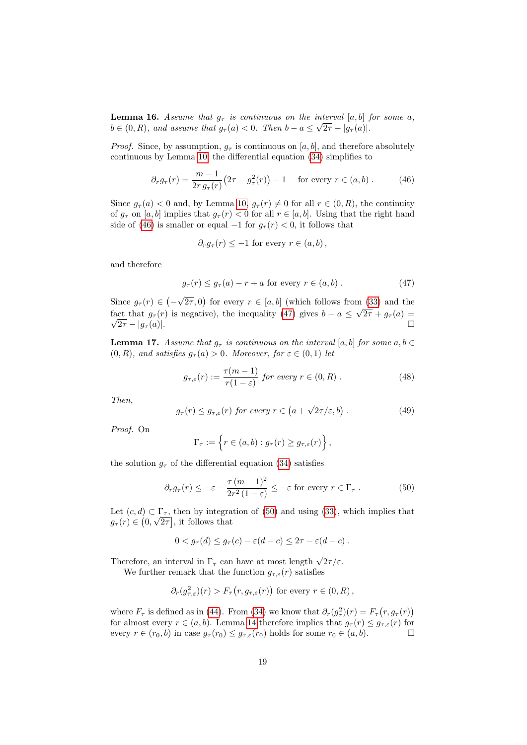<span id="page-20-3"></span>**Lemma 16.** Assume that  $g_{\tau}$  is continuous on the interval [a, b] for some a,  $b \in (0, R)$ , and assume that  $g_{\tau}(a) < 0$ . Then  $b - a \leq \sqrt{2\tau - |g_{\tau}(a)|}$ .

*Proof.* Since, by assumption,  $g_{\tau}$  is continuous on [a, b], and therefore absolutely continuous by Lemma [10,](#page-14-7) the differential equation [\(34\)](#page-14-2) simplifies to

$$
\partial_r g_\tau(r) = \frac{m-1}{2r \, g_\tau(r)} \big( 2\tau - g_\tau^2(r) \big) - 1 \quad \text{ for every } r \in (a, b) . \tag{46}
$$

Since  $g_{\tau}(a) < 0$  and, by Lemma [10,](#page-14-7)  $g_{\tau}(r) \neq 0$  for all  $r \in (0, R)$ , the continuity of  $g_{\tau}$  on [a, b] implies that  $g_{\tau}(r) < 0$  for all  $r \in [a, b]$ . Using that the right hand side of [\(46\)](#page-20-0) is smaller or equal  $-1$  for  $g_{\tau}(r) < 0$ , it follows that

<span id="page-20-0"></span>
$$
\partial_r g_\tau(r) \leq -1
$$
 for every  $r \in (a, b)$ ,

and therefore

<span id="page-20-1"></span>
$$
g_{\tau}(r) \le g_{\tau}(a) - r + a \text{ for every } r \in (a, b).
$$
 (47)

Since  $g_{\tau}(r) \in (-$ √  $\overline{2\tau}$ , 0) for every  $r \in [a, b]$  (which follows from [\(33\)](#page-14-8) and the fact that  $g_{\tau}(r)$  is negative), the inequality [\(47\)](#page-20-1) gives  $b - a \leq$ …<br>… fact that  $g_{\tau}(r)$  is negative), the inequality (47) gives  $b - a \leq \sqrt{2\tau + g_{\tau}(a)} =$  $\sqrt{2\tau} - |g_{\tau}(a)|.$ 

<span id="page-20-5"></span>**Lemma 17.** Assume that  $g_{\tau}$  is continuous on the interval [a, b] for some  $a, b \in$  $(0, R)$ , and satisfies  $g_{\tau}(a) > 0$ . Moreover, for  $\varepsilon \in (0, 1)$  let

$$
g_{\tau,\varepsilon}(r) := \frac{\tau(m-1)}{r(1-\varepsilon)} \text{ for every } r \in (0,R) . \tag{48}
$$

<span id="page-20-4"></span>Then,

$$
g_{\tau}(r) \leq g_{\tau,\varepsilon}(r)
$$
 for every  $r \in (a + \sqrt{2\tau}/\varepsilon, b)$ . (49)

Proof. On

<span id="page-20-2"></span>
$$
\Gamma_{\tau} := \left\{ r \in (a, b) : g_{\tau}(r) \geq g_{\tau, \varepsilon}(r) \right\},\,
$$

the solution  $g_{\tau}$  of the differential equation [\(34\)](#page-14-2) satisfies

$$
\partial_r g_\tau(r) \le -\varepsilon - \frac{\tau (m-1)^2}{2r^2 (1-\varepsilon)} \le -\varepsilon \text{ for every } r \in \Gamma_\tau. \tag{50}
$$

Let  $(c, d) \subset \Gamma_{\tau}$ , then by integration of [\(50\)](#page-20-2) and using [\(33\)](#page-14-8), which implies that  $g_{\tau}(r) \in (0, \sqrt{2\tau})$ , it follows that

$$
0 < g_{\tau}(d) \le g_{\tau}(c) - \varepsilon(d-c) \le 2\tau - \varepsilon(d-c) .
$$

Therefore, an interval in  $\Gamma_{\tau}$  can have at most length  $\sqrt{2\tau}/\varepsilon$ .

We further remark that the function  $g_{\tau,\varepsilon}(r)$  satisfies

$$
\partial_r(g_{\tau,\varepsilon}^2)(r) > F_{\tau}(r, g_{\tau,\varepsilon}(r))
$$
 for every  $r \in (0, R)$ ,

where  $F_{\tau}$  is defined as in [\(44\)](#page-19-1). From [\(34\)](#page-14-2) we know that  $\partial_r(g^2_{\tau})(r) = F_{\tau}(r, g_{\tau}(r))$ for almost every  $r \in (a, b)$ . Lemma [14](#page-18-2) therefore implies that  $g_{\tau}(r) \leq g_{\tau, \varepsilon}(r)$  for every  $r \in (r_0, b)$  in case  $g_\tau(r_0) \leq g_{\tau,\varepsilon}(r_0)$  holds for some  $r_0 \in (a, b)$ .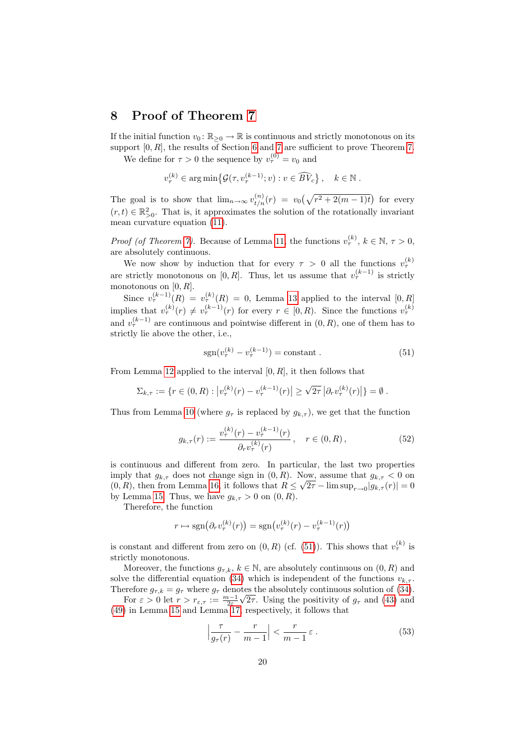#### <span id="page-21-0"></span>8 Proof of Theorem [7](#page-7-1)

If the initial function  $v_0: \mathbb{R}_{\geq 0} \to \mathbb{R}$  is continuous and strictly monotonous on its support  $[0, R]$ , the results of Section [6](#page-13-3) and [7](#page-17-1) are sufficient to prove Theorem [7.](#page-7-1)

We define for  $\tau > 0$  the sequence by  $v_{\tau}^{(0)} = v_0$  and

$$
v_{\tau}^{(k)} \in \arg\min \{ \mathcal{G}(\tau, v_{\tau}^{(k-1)}; v) : v \in \widehat{BV}_c \}, \quad k \in \mathbb{N}.
$$

The goal is to show that  $\lim_{n\to\infty} v_{t/n}^{(n)}(r) = v_0(\sqrt{r^2 + 2(m-1)t})$  for every  $(r, t) \in \mathbb{R}_{>0}^2$ . That is, it approximates the solution of the rotationally invariant mean curvature equation [\(11\)](#page-6-4).

*Proof (of Theorem [7\)](#page-7-1).* Because of Lemma [11,](#page-16-2) the functions  $v_{\tau}^{(k)}$ ,  $k \in \mathbb{N}, \tau > 0$ , are absolutely continuous.

We now show by induction that for every  $\tau > 0$  all the functions  $v_{\tau}^{(k)}$ are strictly monotonous on [0, R]. Thus, let us assume that  $v^{(k-1)}_{\tau}$  is strictly monotonous on  $[0, R]$ .

Since  $v_{\tau}^{(k-1)}(R) = v_{\tau}^{(k)}(R) = 0$ , Lemma [13](#page-18-3) applied to the interval  $[0, R]$ implies that  $v_{\tau}^{(k)}(r) \neq v_{\tau}^{(k-1)}(r)$  for every  $r \in [0, R)$ . Since the functions  $v_{\tau}^{(k)}$ and  $v_{\tau}^{(k-1)}$  are continuous and pointwise different in  $(0, R)$ , one of them has to strictly lie above the other, i.e.,

<span id="page-21-2"></span><span id="page-21-1"></span>
$$
sgn(v_{\tau}^{(k)} - v_{\tau}^{(k-1)}) = \text{constant} . \tag{51}
$$

From Lemma [12](#page-18-1) applied to the interval  $[0, R]$ , it then follows that

$$
\Sigma_{k,\tau} := \{ r \in (0,R) : \left| v_{\tau}^{(k)}(r) - v_{\tau}^{(k-1)}(r) \right| \ge \sqrt{2\tau} \left| \partial_r v_{\tau}^{(k)}(r) \right| \} = \emptyset.
$$

Thus from Lemma [10](#page-14-7) (where  $g_{\tau}$  is replaced by  $g_{k,\tau}$ ), we get that the function

$$
g_{k,\tau}(r) := \frac{v_{\tau}^{(k)}(r) - v_{\tau}^{(k-1)}(r)}{\partial_r v_{\tau}^{(k)}(r)}, \quad r \in (0, R), \tag{52}
$$

is continuous and different from zero. In particular, the last two properties imply that  $g_{k,\tau}$  does not change sign in  $(0, R)$ . Now, assume that  $g_{k,\tau} < 0$  on  $(0, R)$ , then from Lemma [16,](#page-20-3) it follows that  $R \leq \sqrt{2\tau - \limsup_{r \to 0} |g_{k,\tau}(r)|} = 0$ by Lemma [15.](#page-19-2) Thus, we have  $g_{k,\tau} > 0$  on  $(0, R)$ .

Therefore, the function

$$
r \mapsto \text{sgn}\big(\partial_r v_\tau^{(k)}(r)\big) = \text{sgn}\big(v_\tau^{(k)}(r) - v_\tau^{(k-1)}(r)\big)
$$

is constant and different from zero on  $(0, R)$  (cf. [\(51\)](#page-21-1)). This shows that  $v_{\tau}^{(k)}$  is strictly monotonous.

Moreover, the functions  $g_{\tau,k}, k \in \mathbb{N}$ , are absolutely continuous on  $(0, R)$  and solve the differential equation [\(34\)](#page-14-2) which is independent of the functions  $v_{k,\tau}$ . Therefore  $g_{\tau,k} = g_{\tau}$  where  $g_{\tau}$  denotes the absolutely continuous solution of [\(34\)](#page-14-2).

For  $\varepsilon > 0$  let  $r > r_{\varepsilon,\tau} := \frac{m-1}{2\varepsilon} \sqrt{2\tau}$ . Using the positivity of  $g_{\tau}$  and [\(43\)](#page-19-3) and [\(49\)](#page-20-4) in Lemma [15](#page-19-2) and Lemma [17,](#page-20-5) respectively, it follows that

<span id="page-21-3"></span>
$$
\left|\frac{\tau}{g_{\tau}(r)} - \frac{r}{m-1}\right| < \frac{r}{m-1} \varepsilon \,. \tag{53}
$$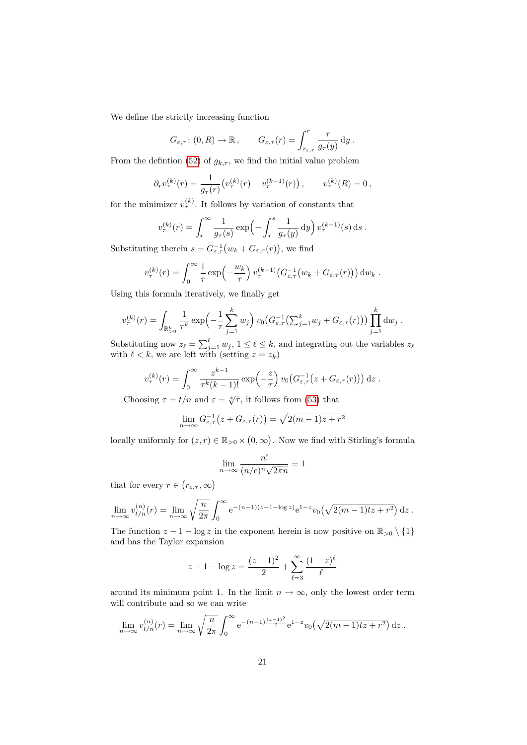We define the strictly increasing function

$$
G_{\varepsilon,\tau}
$$
:  $(0,R) \to \mathbb{R}$ ,  $G_{\varepsilon,\tau}(r) = \int_{r_{\varepsilon,\tau}}^r \frac{\tau}{g_{\tau}(y)} dy$ .

From the defintion [\(52\)](#page-21-2) of  $g_{k,\tau}$ , we find the initial value problem

$$
\partial_r v_\tau^{(k)}(r) = \frac{1}{g_\tau(r)} \big( v_\tau^{(k)}(r) - v_\tau^{(k-1)}(r) \big) \,, \qquad v_\tau^{(k)}(R) = 0 \,,
$$

for the minimizer  $v_{\tau}^{(k)}$ . It follows by variation of constants that

$$
v_{\tau}^{(k)}(r) = \int_{r}^{\infty} \frac{1}{g_{\tau}(s)} \exp\left(-\int_{r}^{s} \frac{1}{g_{\tau}(y)} dy\right) v_{\tau}^{(k-1)}(s) ds.
$$

Substituting therein  $s = G_{\varepsilon,\tau}^{-1}(w_k + G_{\varepsilon,\tau}(r))$ , we find

$$
v_{\tau}^{(k)}(r) = \int_0^{\infty} \frac{1}{\tau} \exp\left(-\frac{w_k}{\tau}\right) v_{\tau}^{(k-1)} \big(G_{\varepsilon,\tau}^{-1}\big(w_k + G_{\varepsilon,\tau}(r)\big)\big) dw_k.
$$

Using this formula iteratively, we finally get

$$
v_{\tau}^{(k)}(r) = \int_{\mathbb{R}_{>0}^k} \frac{1}{\tau^k} \exp\left(-\frac{1}{\tau} \sum_{j=1}^k w_j\right) v_0\big(G_{\varepsilon,\tau}^{-1}\big(\sum_{j=1}^k w_j + G_{\varepsilon,\tau}(r)\big)\big) \prod_{j=1}^k dw_j.
$$

Substituting now  $z_{\ell} = \sum_{j=1}^{\ell} w_j$ ,  $1 \leq \ell \leq k$ , and integrating out the variables  $z_{\ell}$ with  $\ell < k$ , we are left with (setting  $z = z_k$ )

$$
v_{\tau}^{(k)}(r) = \int_0^{\infty} \frac{z^{k-1}}{\tau^k(k-1)!} \exp\left(-\frac{z}{\tau}\right) v_0\big(G_{\varepsilon,\tau}^{-1}\big(z + G_{\varepsilon,\tau}(r)\big)\big) dz.
$$

Choosing  $\tau = t/n$  and  $\varepsilon = \sqrt[4]{\tau}$ , it follows from [\(53\)](#page-21-3) that

$$
\lim_{n \to \infty} G_{\varepsilon,\tau}^{-1}(z + G_{\varepsilon,\tau}(r)) = \sqrt{2(m-1)z + r^2}
$$

locally uniformly for  $(z, r) \in \mathbb{R}_{>0} \times (0, \infty)$ . Now we find with Stirling's formula

$$
\lim_{n \to \infty} \frac{n!}{(n/\mathbf{e})^n \sqrt{2\pi n}} = 1
$$

that for every  $r \in (r_{\varepsilon,\tau},\infty)$ 

$$
\lim_{n \to \infty} v_{t/n}^{(n)}(r) = \lim_{n \to \infty} \sqrt{\frac{n}{2\pi}} \int_0^\infty e^{-(n-1)(z-1-\log z)} e^{1-z} v_0(\sqrt{2(m-1)tz + r^2}) dz.
$$

The function  $z - 1 - \log z$  in the exponent herein is now positive on  $\mathbb{R}_{>0} \setminus \{1\}$ and has the Taylor expansion

$$
z - 1 - \log z = \frac{(z - 1)^2}{2} + \sum_{\ell=3}^{\infty} \frac{(1 - z)^{\ell}}{\ell}
$$

around its minimum point 1. In the limit  $n \to \infty$ , only the lowest order term will contribute and so we can write

$$
\lim_{n \to \infty} v_{t/n}^{(n)}(r) = \lim_{n \to \infty} \sqrt{\frac{n}{2\pi}} \int_0^\infty e^{-(n-1)\frac{(z-1)^2}{2}} e^{1-z} v_0(\sqrt{2(m-1)tz + r^2}) dz.
$$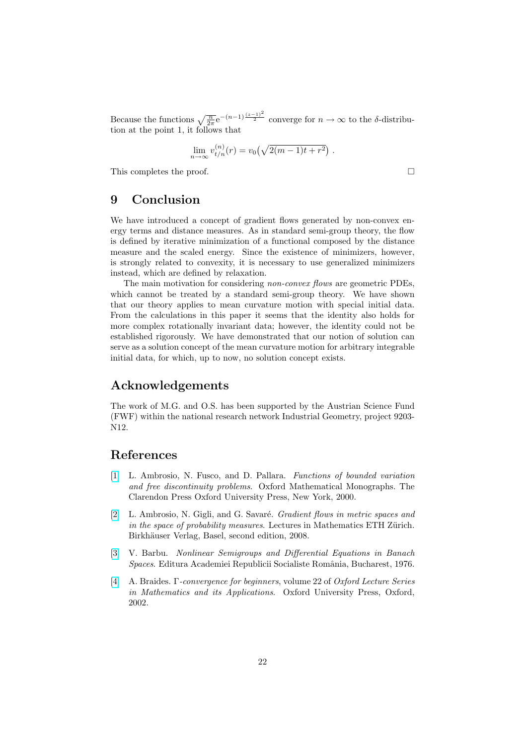Because the functions  $\sqrt{\frac{n}{2\pi}}e^{-(n-1)\frac{(z-1)^2}{2}}$  converge for  $n \to \infty$  to the  $\delta$ -distribution at the point 1, it follows that

$$
\lim_{n \to \infty} v_{t/n}^{(n)}(r) = v_0 \left( \sqrt{2(m-1)t + r^2} \right).
$$

This completes the proof.

## 9 Conclusion

We have introduced a concept of gradient flows generated by non-convex energy terms and distance measures. As in standard semi-group theory, the flow is defined by iterative minimization of a functional composed by the distance measure and the scaled energy. Since the existence of minimizers, however, is strongly related to convexity, it is necessary to use generalized minimizers instead, which are defined by relaxation.

The main motivation for considering *non-convex flows* are geometric PDEs, which cannot be treated by a standard semi-group theory. We have shown that our theory applies to mean curvature motion with special initial data. From the calculations in this paper it seems that the identity also holds for more complex rotationally invariant data; however, the identity could not be established rigorously. We have demonstrated that our notion of solution can serve as a solution concept of the mean curvature motion for arbitrary integrable initial data, for which, up to now, no solution concept exists.

#### Acknowledgements

The work of M.G. and O.S. has been supported by the Austrian Science Fund (FWF) within the national research network Industrial Geometry, project 9203- N12.

#### References

- <span id="page-23-3"></span>[\[1\]](http://www.ams.org/mathscinet-getitem?mr=1857292) L. Ambrosio, N. Fusco, and D. Pallara. Functions of bounded variation and free discontinuity problems. Oxford Mathematical Monographs. The Clarendon Press Oxford University Press, New York, 2000.
- <span id="page-23-1"></span>[\[2\]](http://www.ams.org/mathscinet-getitem?mr=2401600) L. Ambrosio, N. Gigli, and G. Savaré. *Gradient flows in metric spaces and* in the space of probability measures. Lectures in Mathematics ETH Zürich. Birkhäuser Verlag, Basel, second edition, 2008.
- <span id="page-23-0"></span>[\[3\]](http://www.ams.org/mathscinet-getitem?mr=0390843) V. Barbu. Nonlinear Semigroups and Differential Equations in Banach Spaces. Editura Academiei Republicii Socialiste România, Bucharest, 1976.
- <span id="page-23-2"></span>[\[4\]](http://www.ams.org/mathscinet-getitem?mr=1968440) A. Braides. Γ-convergence for beginners, volume 22 of Oxford Lecture Series in Mathematics and its Applications. Oxford University Press, Oxford, 2002.